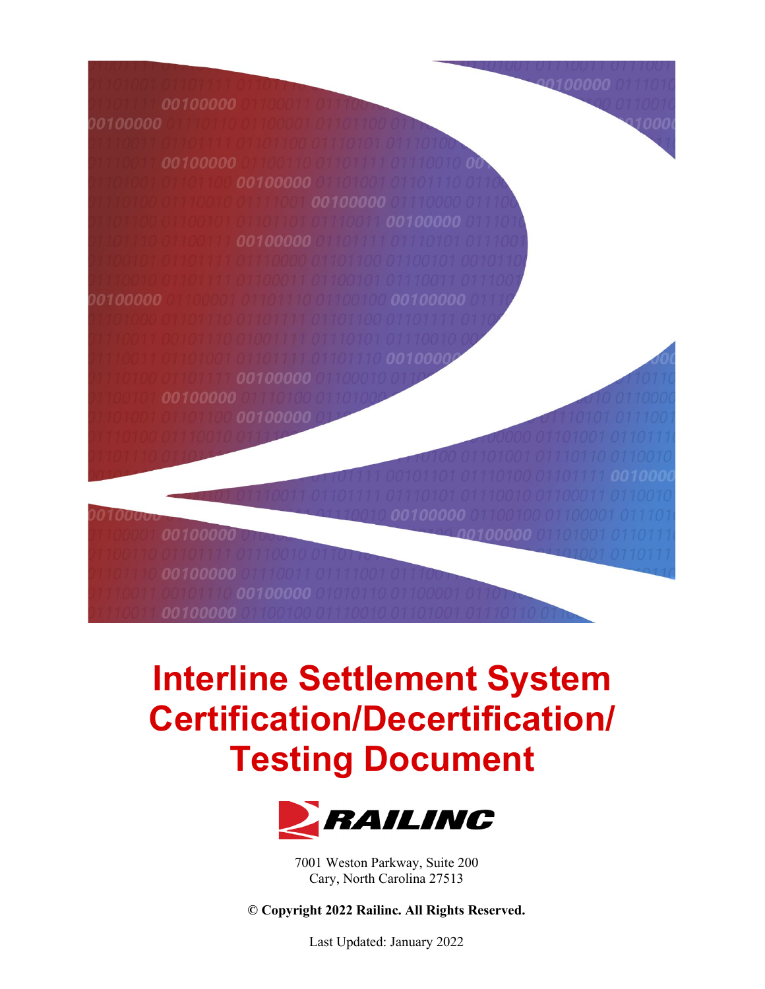

# **Interline Settlement System Certification/Decertification/ Testing Document**



7001 Weston Parkway, Suite 200 Cary, North Carolina 27513

**© Copyright 2022 Railinc. All Rights Reserved.**

Last Updated: January 2022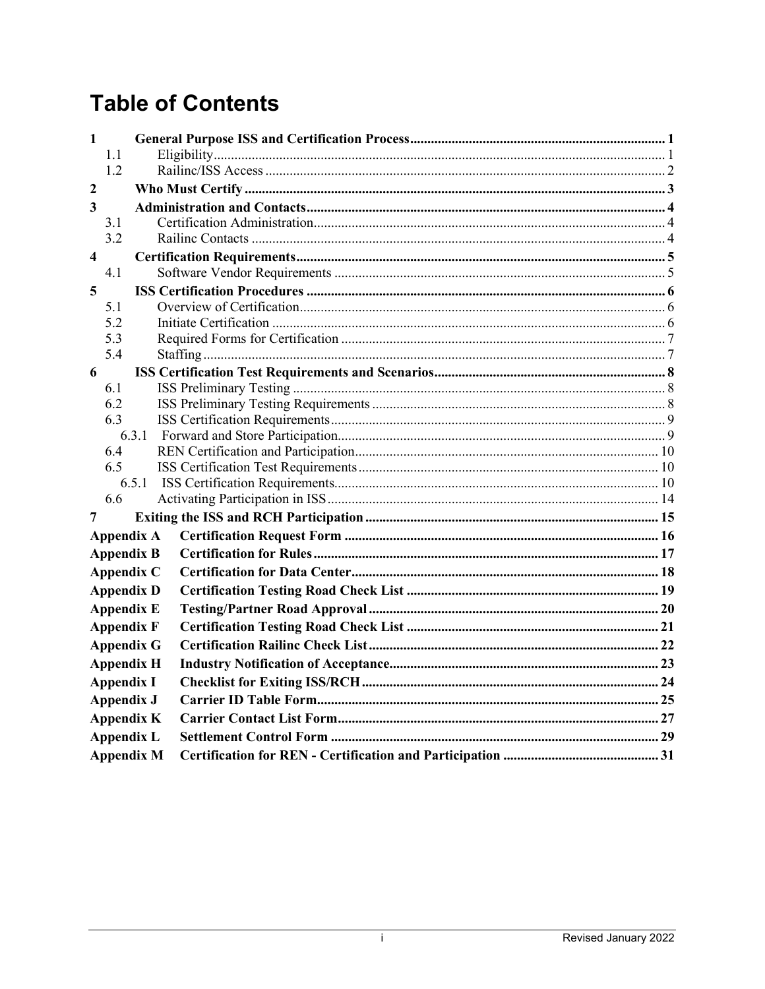## **Table of Contents**

| 1                       |                   |                   |  |
|-------------------------|-------------------|-------------------|--|
|                         | 1.1<br>1.2        |                   |  |
| $\overline{2}$          |                   |                   |  |
| $\overline{3}$          |                   |                   |  |
|                         | 3.1               |                   |  |
|                         | 3.2               |                   |  |
| $\overline{\mathbf{4}}$ |                   |                   |  |
|                         | 4.1               |                   |  |
| 5                       |                   |                   |  |
|                         | 5.1               |                   |  |
|                         | 5.2               |                   |  |
|                         | 5.3               |                   |  |
|                         | 5.4               |                   |  |
| 6                       |                   |                   |  |
|                         | 6.1               |                   |  |
|                         | 6.2               |                   |  |
|                         | 6.3               |                   |  |
|                         |                   | 6.3.1             |  |
|                         | 6.4               |                   |  |
|                         | 6.5               |                   |  |
|                         | 6.6               |                   |  |
| 7                       |                   |                   |  |
|                         |                   |                   |  |
|                         |                   | <b>Appendix A</b> |  |
|                         |                   | <b>Appendix B</b> |  |
|                         |                   | Appendix C        |  |
|                         |                   | <b>Appendix D</b> |  |
|                         |                   | <b>Appendix E</b> |  |
|                         |                   | <b>Appendix F</b> |  |
|                         |                   | <b>Appendix G</b> |  |
|                         |                   | <b>Appendix H</b> |  |
|                         | <b>Appendix I</b> |                   |  |
|                         | <b>Appendix J</b> |                   |  |
|                         |                   | <b>Appendix K</b> |  |
|                         |                   | <b>Appendix L</b> |  |
|                         |                   | <b>Appendix M</b> |  |
|                         |                   |                   |  |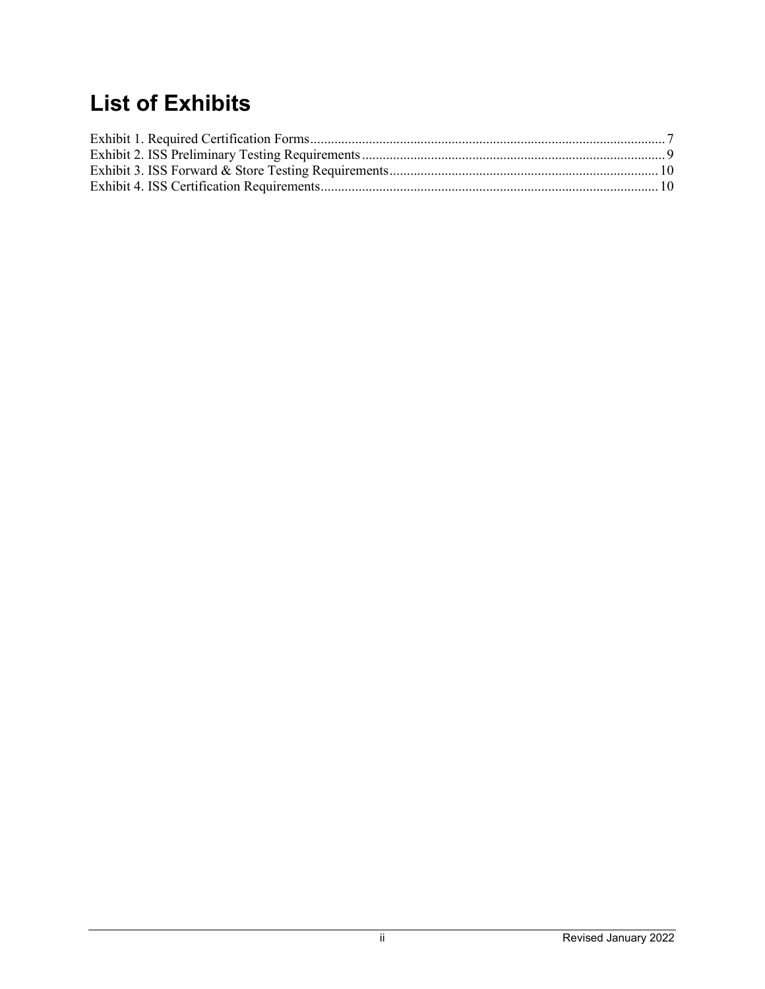## **List of Exhibits**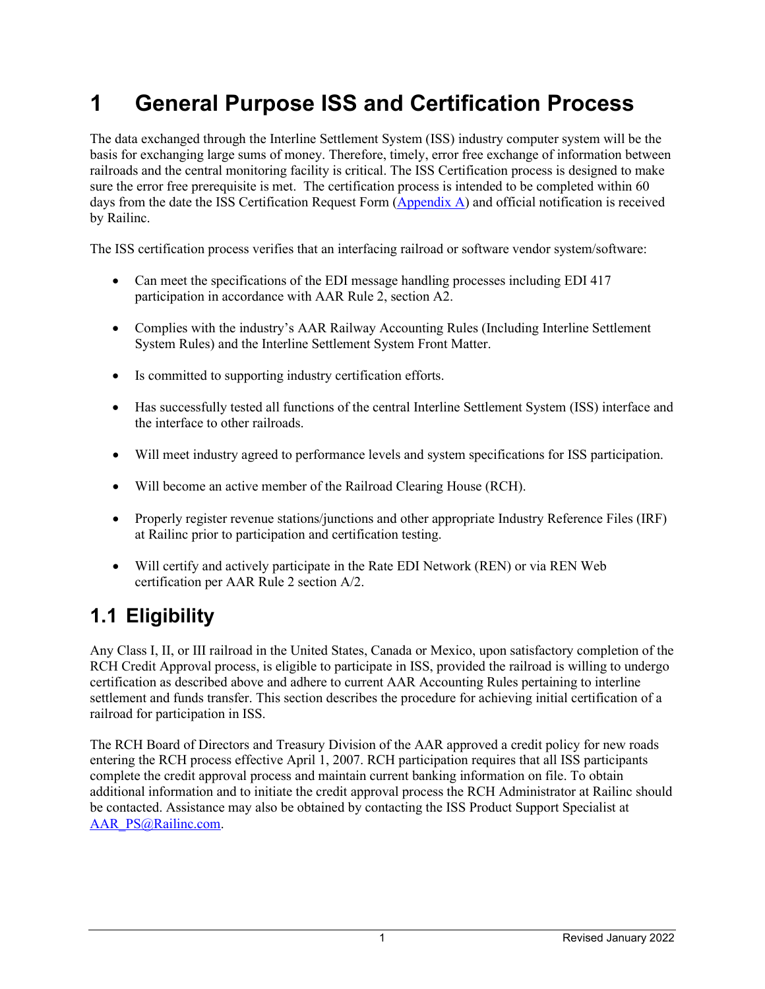## <span id="page-3-0"></span>**1 General Purpose ISS and Certification Process**

The data exchanged through the Interline Settlement System (ISS) industry computer system will be the basis for exchanging large sums of money. Therefore, timely, error free exchange of information between railroads and the central monitoring facility is critical. The ISS Certification process is designed to make sure the error free prerequisite is met. The certification process is intended to be completed within 60 days from the date the ISS Certification Request Form [\(Appendix A\)](#page-18-0) and official notification is received by Railinc.

The ISS certification process verifies that an interfacing railroad or software vendor system/software:

- Can meet the specifications of the EDI message handling processes including EDI 417 participation in accordance with AAR Rule 2, section A2.
- Complies with the industry's AAR Railway Accounting Rules (Including Interline Settlement System Rules) and the Interline Settlement System Front Matter.
- Is committed to supporting industry certification efforts.
- Has successfully tested all functions of the central Interline Settlement System (ISS) interface and the interface to other railroads.
- Will meet industry agreed to performance levels and system specifications for ISS participation.
- Will become an active member of the Railroad Clearing House (RCH).
- Properly register revenue stations/junctions and other appropriate Industry Reference Files (IRF) at Railinc prior to participation and certification testing.
- Will certify and actively participate in the Rate EDI Network (REN) or via REN Web certification per AAR Rule 2 section A/2.

### <span id="page-3-1"></span>**1.1 Eligibility**

Any Class I, II, or III railroad in the United States, Canada or Mexico, upon satisfactory completion of the RCH Credit Approval process, is eligible to participate in ISS, provided the railroad is willing to undergo certification as described above and adhere to current AAR Accounting Rules pertaining to interline settlement and funds transfer. This section describes the procedure for achieving initial certification of a railroad for participation in ISS.

The RCH Board of Directors and Treasury Division of the AAR approved a credit policy for new roads entering the RCH process effective April 1, 2007. RCH participation requires that all ISS participants complete the credit approval process and maintain current banking information on file. To obtain additional information and to initiate the credit approval process the RCH Administrator at Railinc should be contacted. Assistance may also be obtained by contacting the ISS Product Support Specialist at [AAR\\_PS@Railinc.com.](mailto:AAR_PS@Railinc.com)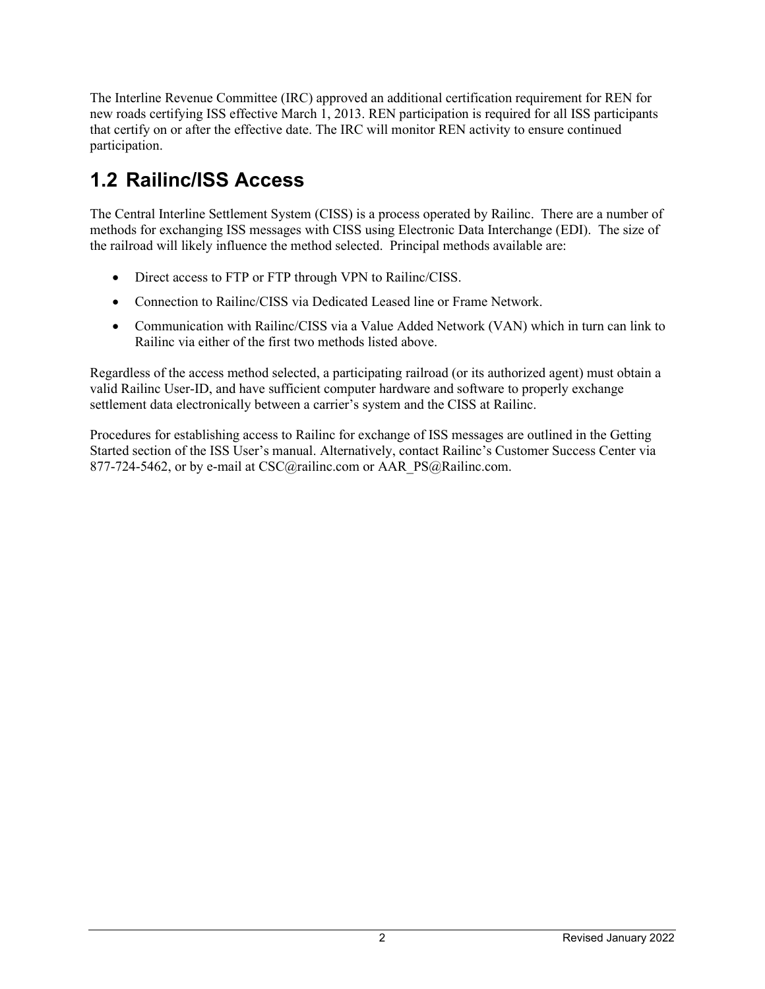The Interline Revenue Committee (IRC) approved an additional certification requirement for REN for new roads certifying ISS effective March 1, 2013. REN participation is required for all ISS participants that certify on or after the effective date. The IRC will monitor REN activity to ensure continued participation.

## <span id="page-4-0"></span>**1.2 Railinc/ISS Access**

The Central Interline Settlement System (CISS) is a process operated by Railinc. There are a number of methods for exchanging ISS messages with CISS using Electronic Data Interchange (EDI). The size of the railroad will likely influence the method selected. Principal methods available are:

- Direct access to FTP or FTP through VPN to Railinc/CISS.
- Connection to Railinc/CISS via Dedicated Leased line or Frame Network.
- Communication with Railinc/CISS via a Value Added Network (VAN) which in turn can link to Railinc via either of the first two methods listed above.

Regardless of the access method selected, a participating railroad (or its authorized agent) must obtain a valid Railinc User-ID, and have sufficient computer hardware and software to properly exchange settlement data electronically between a carrier's system and the CISS at Railinc.

Procedures for establishing access to Railinc for exchange of ISS messages are outlined in the Getting Started section of the ISS User's manual. Alternatively, contact Railinc's Customer Success Center via 877-724-5462, or by e-mail at CSC@railinc.com or AAR\_PS@Railinc.com.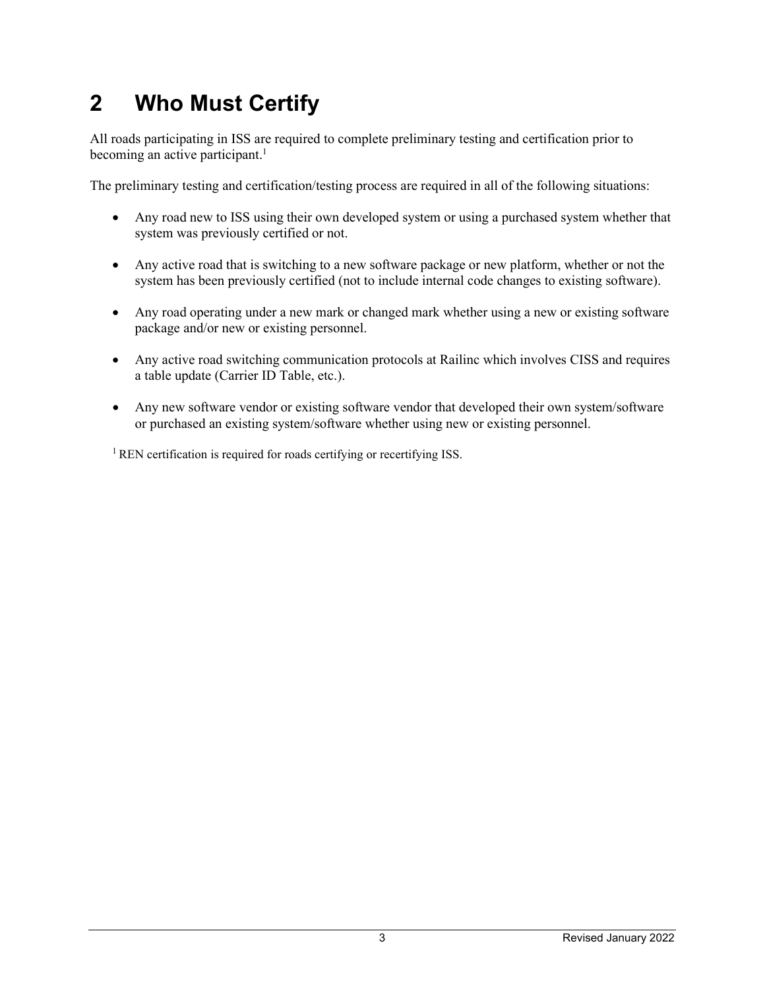## <span id="page-5-0"></span>**2 Who Must Certify**

All roads participating in ISS are required to complete preliminary testing and certification prior to becoming an active participant.<sup>1</sup>

The preliminary testing and certification/testing process are required in all of the following situations:

- Any road new to ISS using their own developed system or using a purchased system whether that system was previously certified or not.
- Any active road that is switching to a new software package or new platform, whether or not the system has been previously certified (not to include internal code changes to existing software).
- Any road operating under a new mark or changed mark whether using a new or existing software package and/or new or existing personnel.
- Any active road switching communication protocols at Railinc which involves CISS and requires a table update (Carrier ID Table, etc.).
- Any new software vendor or existing software vendor that developed their own system/software or purchased an existing system/software whether using new or existing personnel.

 $1$  REN certification is required for roads certifying or recertifying ISS.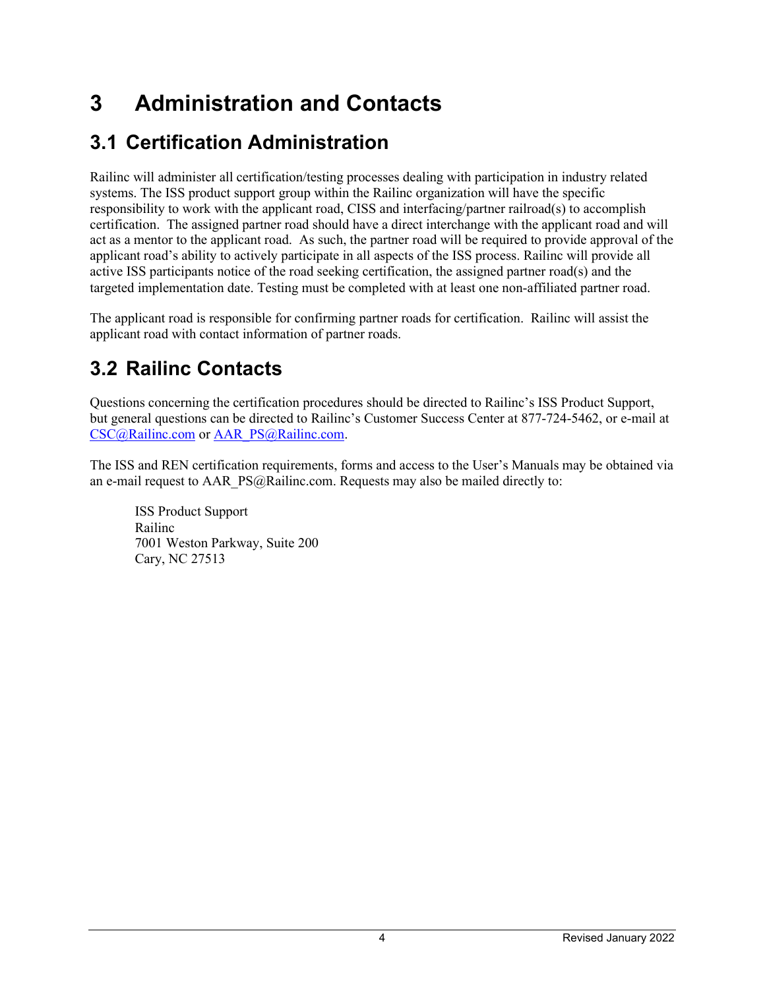## <span id="page-6-0"></span>**3 Administration and Contacts**

## <span id="page-6-1"></span>**3.1 Certification Administration**

Railinc will administer all certification/testing processes dealing with participation in industry related systems. The ISS product support group within the Railinc organization will have the specific responsibility to work with the applicant road, CISS and interfacing/partner railroad(s) to accomplish certification. The assigned partner road should have a direct interchange with the applicant road and will act as a mentor to the applicant road. As such, the partner road will be required to provide approval of the applicant road's ability to actively participate in all aspects of the ISS process. Railinc will provide all active ISS participants notice of the road seeking certification, the assigned partner road(s) and the targeted implementation date. Testing must be completed with at least one non-affiliated partner road.

The applicant road is responsible for confirming partner roads for certification. Railinc will assist the applicant road with contact information of partner roads.

## <span id="page-6-2"></span>**3.2 Railinc Contacts**

Questions concerning the certification procedures should be directed to Railinc's ISS Product Support, but general questions can be directed to Railinc's Customer Success Center at 877-724-5462, or e-mail at [CSC@Railinc.com](mailto:CSC@Railinc.com) or [AAR\\_PS@Railinc.com.](mailto:AAR_PS@Railinc.com)

The ISS and REN certification requirements, forms and access to the User's Manuals may be obtained via an e-mail request to AAR\_PS@Railinc.com. Requests may also be mailed directly to:

ISS Product Support Railinc 7001 Weston Parkway, Suite 200 Cary, NC 27513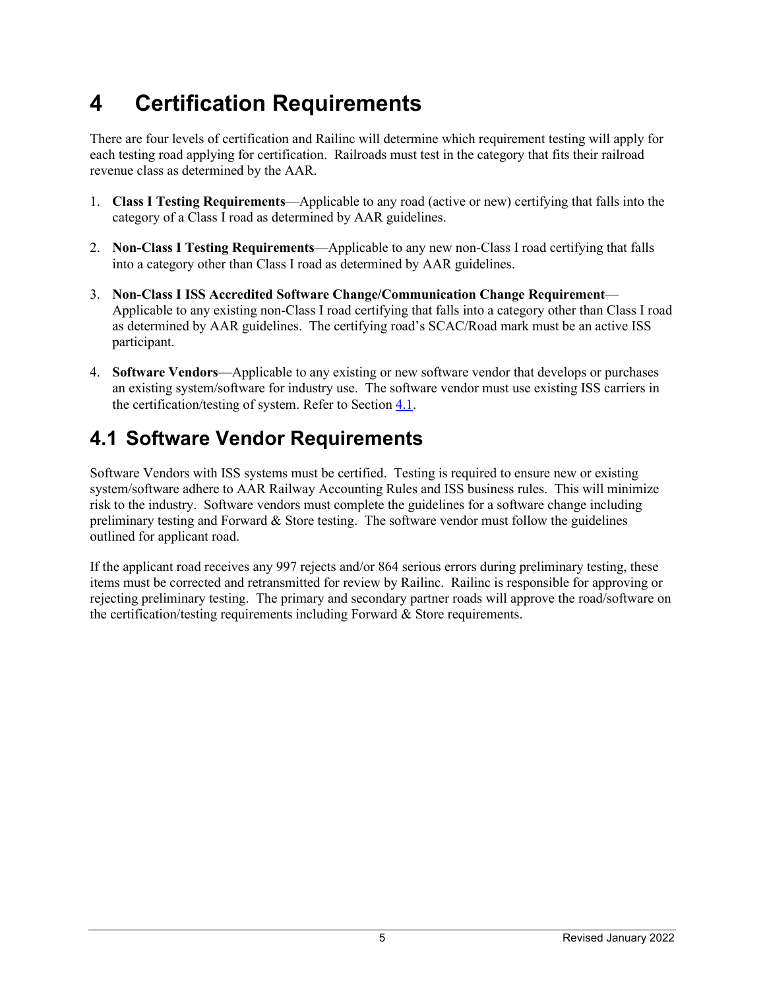## <span id="page-7-0"></span>**4 Certification Requirements**

There are four levels of certification and Railinc will determine which requirement testing will apply for each testing road applying for certification. Railroads must test in the category that fits their railroad revenue class as determined by the AAR.

- 1. **Class I Testing Requirements**—Applicable to any road (active or new) certifying that falls into the category of a Class I road as determined by AAR guidelines.
- 2. **Non-Class I Testing Requirements**—Applicable to any new non-Class I road certifying that falls into a category other than Class I road as determined by AAR guidelines.
- 3. **Non-Class I ISS Accredited Software Change/Communication Change Requirement** Applicable to any existing non-Class I road certifying that falls into a category other than Class I road as determined by AAR guidelines. The certifying road's SCAC/Road mark must be an active ISS participant.
- 4. **Software Vendors**—Applicable to any existing or new software vendor that develops or purchases an existing system/software for industry use. The software vendor must use existing ISS carriers in the certification/testing of system. Refer to Sectio[n 4.1.](#page-7-1)

### <span id="page-7-1"></span>**4.1 Software Vendor Requirements**

Software Vendors with ISS systems must be certified. Testing is required to ensure new or existing system/software adhere to AAR Railway Accounting Rules and ISS business rules. This will minimize risk to the industry. Software vendors must complete the guidelines for a software change including preliminary testing and Forward & Store testing. The software vendor must follow the guidelines outlined for applicant road.

If the applicant road receives any 997 rejects and/or 864 serious errors during preliminary testing, these items must be corrected and retransmitted for review by Railinc. Railinc is responsible for approving or rejecting preliminary testing. The primary and secondary partner roads will approve the road/software on the certification/testing requirements including Forward & Store requirements.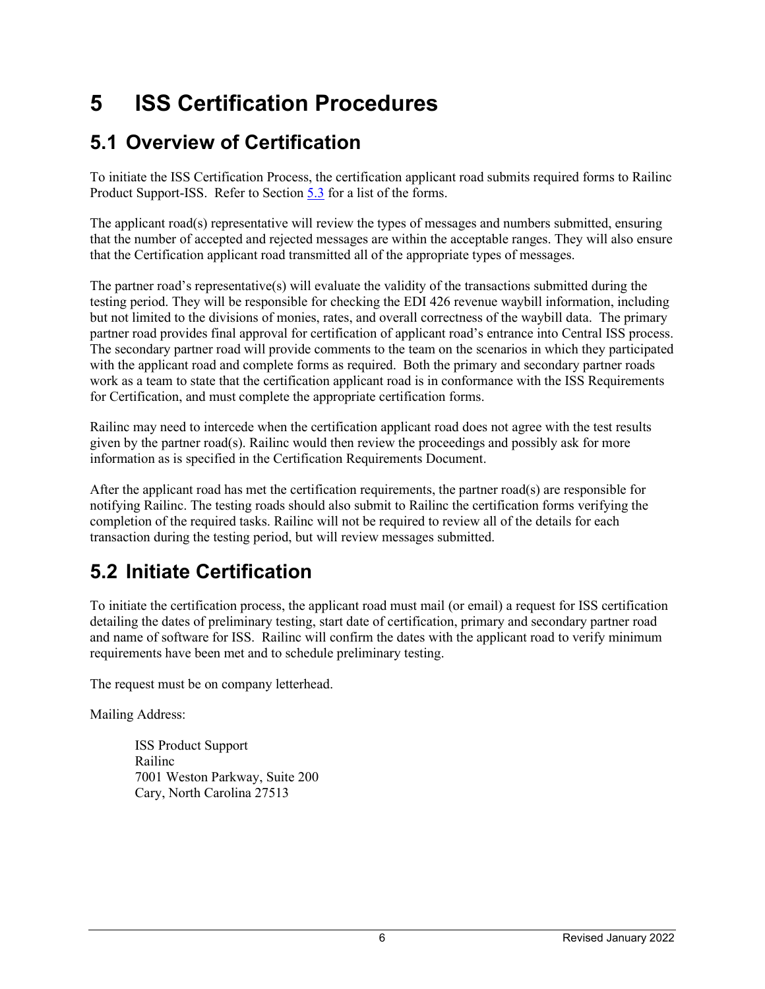## <span id="page-8-0"></span>**5 ISS Certification Procedures**

### <span id="page-8-1"></span>**5.1 Overview of Certification**

To initiate the ISS Certification Process, the certification applicant road submits required forms to Railinc Product Support-ISS. Refer to Section [5.3](#page-9-0) for a list of the forms.

The applicant road(s) representative will review the types of messages and numbers submitted, ensuring that the number of accepted and rejected messages are within the acceptable ranges. They will also ensure that the Certification applicant road transmitted all of the appropriate types of messages.

The partner road's representative(s) will evaluate the validity of the transactions submitted during the testing period. They will be responsible for checking the EDI 426 revenue waybill information, including but not limited to the divisions of monies, rates, and overall correctness of the waybill data. The primary partner road provides final approval for certification of applicant road's entrance into Central ISS process. The secondary partner road will provide comments to the team on the scenarios in which they participated with the applicant road and complete forms as required. Both the primary and secondary partner roads work as a team to state that the certification applicant road is in conformance with the ISS Requirements for Certification, and must complete the appropriate certification forms.

Railinc may need to intercede when the certification applicant road does not agree with the test results given by the partner road(s). Railinc would then review the proceedings and possibly ask for more information as is specified in the Certification Requirements Document.

After the applicant road has met the certification requirements, the partner road(s) are responsible for notifying Railinc. The testing roads should also submit to Railinc the certification forms verifying the completion of the required tasks. Railinc will not be required to review all of the details for each transaction during the testing period, but will review messages submitted.

## <span id="page-8-2"></span>**5.2 Initiate Certification**

To initiate the certification process, the applicant road must mail (or email) a request for ISS certification detailing the dates of preliminary testing, start date of certification, primary and secondary partner road and name of software for ISS. Railinc will confirm the dates with the applicant road to verify minimum requirements have been met and to schedule preliminary testing.

The request must be on company letterhead.

Mailing Address:

ISS Product Support Railinc 7001 Weston Parkway, Suite 200 Cary, North Carolina 27513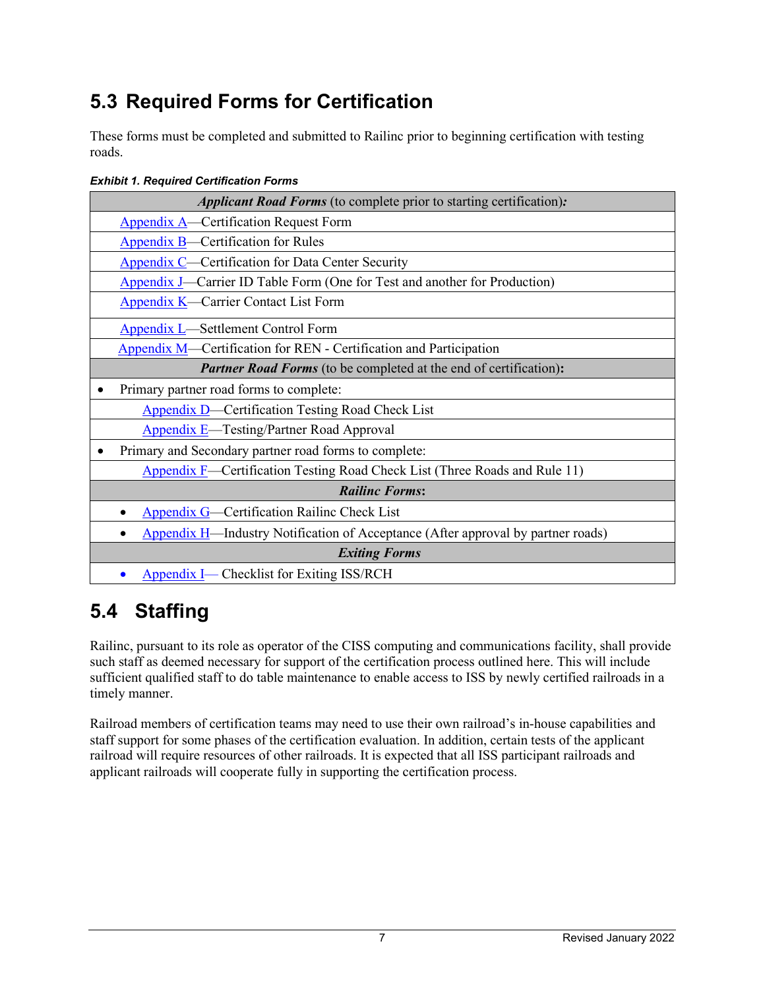## <span id="page-9-0"></span>**5.3 Required Forms for Certification**

These forms must be completed and submitted to Railinc prior to beginning certification with testing roads.

| <b>Applicant Road Forms</b> (to complete prior to starting certification):               |
|------------------------------------------------------------------------------------------|
| <b>Appendix A</b> —Certification Request Form                                            |
| <b>Appendix B</b> —Certification for Rules                                               |
| Appendix C—Certification for Data Center Security                                        |
| Appendix J—Carrier ID Table Form (One for Test and another for Production)               |
| Appendix K—Carrier Contact List Form                                                     |
| <b>Appendix L</b> —Settlement Control Form                                               |
| <b>Appendix M</b> —Certification for REN - Certification and Participation               |
| <b>Partner Road Forms</b> (to be completed at the end of certification):                 |
| Primary partner road forms to complete:                                                  |
| <b>Appendix D</b> —Certification Testing Road Check List                                 |
| <b>Appendix E</b> —Testing/Partner Road Approval                                         |
| Primary and Secondary partner road forms to complete:                                    |
| <b>Appendix F</b> —Certification Testing Road Check List (Three Roads and Rule 11)       |
| <b>Railinc Forms:</b>                                                                    |
| <b>Appendix G</b> —Certification Railinc Check List                                      |
| <b>Appendix H</b> —Industry Notification of Acceptance (After approval by partner roads) |
| <b>Exiting Forms</b>                                                                     |
| <b>Appendix I</b> — Checklist for Exiting ISS/RCH                                        |

#### <span id="page-9-2"></span>*Exhibit 1. Required Certification Forms*

#### <span id="page-9-1"></span>**5.4 Staffing**

Railinc, pursuant to its role as operator of the CISS computing and communications facility, shall provide such staff as deemed necessary for support of the certification process outlined here. This will include sufficient qualified staff to do table maintenance to enable access to ISS by newly certified railroads in a timely manner.

Railroad members of certification teams may need to use their own railroad's in-house capabilities and staff support for some phases of the certification evaluation. In addition, certain tests of the applicant railroad will require resources of other railroads. It is expected that all ISS participant railroads and applicant railroads will cooperate fully in supporting the certification process.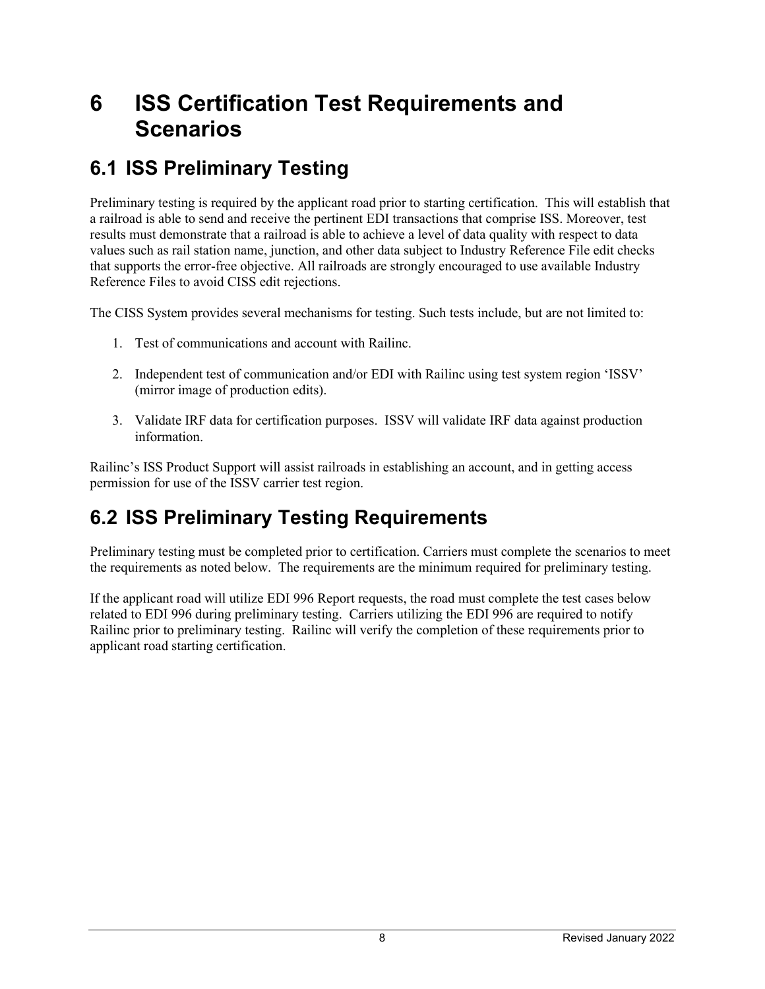## <span id="page-10-0"></span>**6 ISS Certification Test Requirements and Scenarios**

#### <span id="page-10-1"></span>**6.1 ISS Preliminary Testing**

Preliminary testing is required by the applicant road prior to starting certification. This will establish that a railroad is able to send and receive the pertinent EDI transactions that comprise ISS. Moreover, test results must demonstrate that a railroad is able to achieve a level of data quality with respect to data values such as rail station name, junction, and other data subject to Industry Reference File edit checks that supports the error-free objective. All railroads are strongly encouraged to use available Industry Reference Files to avoid CISS edit rejections.

The CISS System provides several mechanisms for testing. Such tests include, but are not limited to:

- 1. Test of communications and account with Railinc.
- 2. Independent test of communication and/or EDI with Railinc using test system region 'ISSV' (mirror image of production edits).
- 3. Validate IRF data for certification purposes. ISSV will validate IRF data against production information.

Railinc's ISS Product Support will assist railroads in establishing an account, and in getting access permission for use of the ISSV carrier test region.

#### <span id="page-10-2"></span>**6.2 ISS Preliminary Testing Requirements**

Preliminary testing must be completed prior to certification. Carriers must complete the scenarios to meet the requirements as noted below. The requirements are the minimum required for preliminary testing.

If the applicant road will utilize EDI 996 Report requests, the road must complete the test cases below related to EDI 996 during preliminary testing. Carriers utilizing the EDI 996 are required to notify Railinc prior to preliminary testing. Railinc will verify the completion of these requirements prior to applicant road starting certification.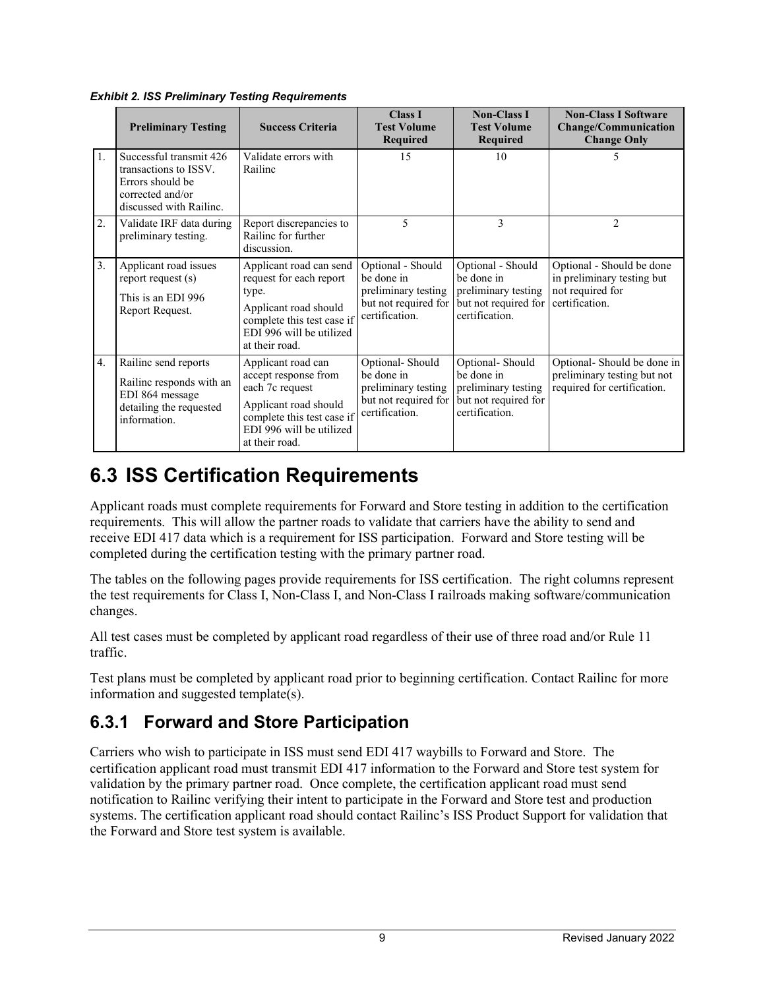|    | <b>Preliminary Testing</b>                                                                                          | <b>Success Criteria</b>                                                                                                                                            | <b>Class I</b><br><b>Test Volume</b><br>Required                                                 | <b>Non-Class I</b><br><b>Test Volume</b><br><b>Required</b>                                      | <b>Non-Class I Software</b><br><b>Change/Communication</b><br><b>Change Only</b>              |
|----|---------------------------------------------------------------------------------------------------------------------|--------------------------------------------------------------------------------------------------------------------------------------------------------------------|--------------------------------------------------------------------------------------------------|--------------------------------------------------------------------------------------------------|-----------------------------------------------------------------------------------------------|
| 1. | Successful transmit 426<br>transactions to ISSV.<br>Errors should be<br>corrected and/or<br>discussed with Railinc. | Validate errors with<br>Railinc                                                                                                                                    | 15                                                                                               | 10                                                                                               | 5                                                                                             |
| 2. | Validate IRF data during<br>preliminary testing.                                                                    | Report discrepancies to<br>Railine for further<br>discussion.                                                                                                      | 5                                                                                                | 3                                                                                                | $\overline{2}$                                                                                |
| 3. | Applicant road issues<br>report request (s)<br>This is an EDI 996<br>Report Request.                                | Applicant road can send<br>request for each report<br>type.<br>Applicant road should<br>complete this test case if<br>EDI 996 will be utilized<br>at their road.   | Optional - Should<br>be done in<br>preliminary testing<br>but not required for<br>certification. | Optional - Should<br>be done in<br>preliminary testing<br>but not required for<br>certification. | Optional - Should be done<br>in preliminary testing but<br>not required for<br>certification. |
| 4. | Railinc send reports<br>Railinc responds with an<br>EDI 864 message<br>detailing the requested<br>information.      | Applicant road can<br>accept response from<br>each 7c request<br>Applicant road should<br>complete this test case if<br>EDI 996 will be utilized<br>at their road. | Optional-Should<br>be done in<br>preliminary testing<br>but not required for<br>certification.   | Optional-Should<br>be done in<br>preliminary testing<br>but not required for<br>certification.   | Optional-Should be done in<br>preliminary testing but not<br>required for certification.      |

<span id="page-11-2"></span>*Exhibit 2. ISS Preliminary Testing Requirements*

### <span id="page-11-0"></span>**6.3 ISS Certification Requirements**

Applicant roads must complete requirements for Forward and Store testing in addition to the certification requirements. This will allow the partner roads to validate that carriers have the ability to send and receive EDI 417 data which is a requirement for ISS participation. Forward and Store testing will be completed during the certification testing with the primary partner road.

The tables on the following pages provide requirements for ISS certification. The right columns represent the test requirements for Class I, Non-Class I, and Non-Class I railroads making software/communication changes.

All test cases must be completed by applicant road regardless of their use of three road and/or Rule 11 traffic.

Test plans must be completed by applicant road prior to beginning certification. Contact Railinc for more information and suggested template(s).

#### <span id="page-11-1"></span>**6.3.1 Forward and Store Participation**

Carriers who wish to participate in ISS must send EDI 417 waybills to Forward and Store. The certification applicant road must transmit EDI 417 information to the Forward and Store test system for validation by the primary partner road. Once complete, the certification applicant road must send notification to Railinc verifying their intent to participate in the Forward and Store test and production systems. The certification applicant road should contact Railinc's ISS Product Support for validation that the Forward and Store test system is available.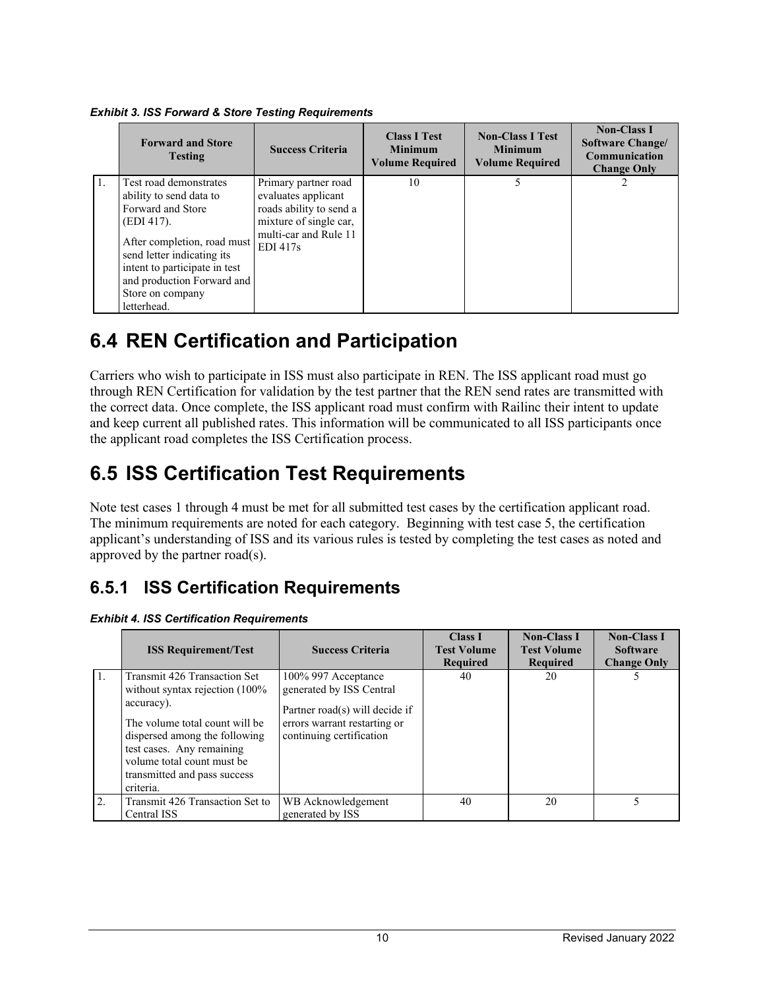| <b>Forward and Store</b><br><b>Testing</b>                                                                                                                                                                                                          | <b>Success Criteria</b>                                                                                                                          | <b>Class I Test</b><br><b>Minimum</b><br><b>Volume Required</b> | <b>Non-Class I Test</b><br><b>Minimum</b><br><b>Volume Required</b> | <b>Non-Class I</b><br><b>Software Change/</b><br>Communication<br><b>Change Only</b> |
|-----------------------------------------------------------------------------------------------------------------------------------------------------------------------------------------------------------------------------------------------------|--------------------------------------------------------------------------------------------------------------------------------------------------|-----------------------------------------------------------------|---------------------------------------------------------------------|--------------------------------------------------------------------------------------|
| Test road demonstrates<br>ability to send data to<br>Forward and Store<br>(EDI 417).<br>After completion, road must<br>send letter indicating its<br>intent to participate in test<br>and production Forward and<br>Store on company<br>letterhead. | Primary partner road<br>evaluates applicant<br>roads ability to send a<br>mixture of single car,<br>multi-car and Rule 11<br>EDI <sub>417s</sub> | 10                                                              |                                                                     |                                                                                      |

<span id="page-12-3"></span>*Exhibit 3. ISS Forward & Store Testing Requirements*

### <span id="page-12-0"></span>**6.4 REN Certification and Participation**

Carriers who wish to participate in ISS must also participate in REN. The ISS applicant road must go through REN Certification for validation by the test partner that the REN send rates are transmitted with the correct data. Once complete, the ISS applicant road must confirm with Railinc their intent to update and keep current all published rates. This information will be communicated to all ISS participants once the applicant road completes the ISS Certification process.

### <span id="page-12-1"></span>**6.5 ISS Certification Test Requirements**

Note test cases 1 through 4 must be met for all submitted test cases by the certification applicant road. The minimum requirements are noted for each category. Beginning with test case 5, the certification applicant's understanding of ISS and its various rules is tested by completing the test cases as noted and approved by the partner road(s).

#### <span id="page-12-2"></span>**6.5.1 ISS Certification Requirements**

|    | <b>ISS Requirement/Test</b>                                                                                                                                                                                                                                | <b>Success Criteria</b>                                                                                                                       | <b>Class I</b><br><b>Test Volume</b><br><b>Required</b> | <b>Non-Class I</b><br><b>Test Volume</b><br>Required | <b>Non-Class I</b><br><b>Software</b><br><b>Change Only</b> |
|----|------------------------------------------------------------------------------------------------------------------------------------------------------------------------------------------------------------------------------------------------------------|-----------------------------------------------------------------------------------------------------------------------------------------------|---------------------------------------------------------|------------------------------------------------------|-------------------------------------------------------------|
| 1. | Transmit 426 Transaction Set<br>without syntax rejection $(100\%$<br>accuracy).<br>The volume total count will be<br>dispersed among the following<br>test cases. Any remaining<br>volume total count must be<br>transmitted and pass success<br>criteria. | 100% 997 Acceptance<br>generated by ISS Central<br>Partner road(s) will decide if<br>errors warrant restarting or<br>continuing certification | 40                                                      | 20                                                   |                                                             |
| 2. | Transmit 426 Transaction Set to<br>Central ISS                                                                                                                                                                                                             | WB Acknowledgement<br>generated by ISS                                                                                                        | 40                                                      | 20                                                   |                                                             |

<span id="page-12-4"></span>*Exhibit 4. ISS Certification Requirements*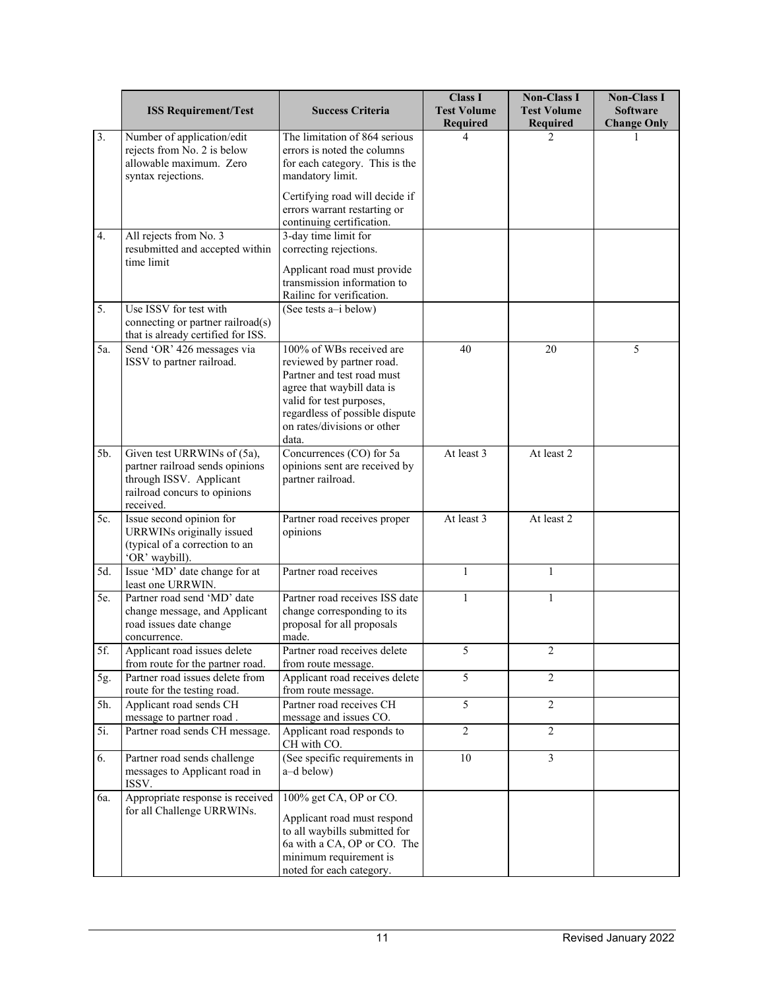|     | <b>ISS Requirement/Test</b>                                                                                                            | <b>Success Criteria</b>                                                                                                                                                                                                 | <b>Class I</b><br><b>Test Volume</b><br>Required | <b>Non-Class I</b><br><b>Test Volume</b><br>Required | <b>Non-Class I</b><br><b>Software</b><br><b>Change Only</b> |
|-----|----------------------------------------------------------------------------------------------------------------------------------------|-------------------------------------------------------------------------------------------------------------------------------------------------------------------------------------------------------------------------|--------------------------------------------------|------------------------------------------------------|-------------------------------------------------------------|
| 3.  | Number of application/edit<br>rejects from No. 2 is below<br>allowable maximum. Zero<br>syntax rejections.                             | The limitation of 864 serious<br>errors is noted the columns<br>for each category. This is the<br>mandatory limit.                                                                                                      | 4                                                | 2                                                    |                                                             |
|     |                                                                                                                                        | Certifying road will decide if<br>errors warrant restarting or<br>continuing certification.                                                                                                                             |                                                  |                                                      |                                                             |
| 4.  | All rejects from No. 3<br>resubmitted and accepted within<br>time limit                                                                | 3-day time limit for<br>correcting rejections.<br>Applicant road must provide                                                                                                                                           |                                                  |                                                      |                                                             |
| 5.  | Use ISSV for test with<br>connecting or partner railroad(s)                                                                            | transmission information to<br>Railine for verification.<br>(See tests a-i below)                                                                                                                                       |                                                  |                                                      |                                                             |
| 5a. | that is already certified for ISS.<br>Send 'OR' 426 messages via<br>ISSV to partner railroad.                                          | 100% of WBs received are<br>reviewed by partner road.<br>Partner and test road must<br>agree that waybill data is<br>valid for test purposes,<br>regardless of possible dispute<br>on rates/divisions or other<br>data. | 40                                               | 20                                                   | 5                                                           |
| 5b. | Given test URRWINs of (5a),<br>partner railroad sends opinions<br>through ISSV. Applicant<br>railroad concurs to opinions<br>received. | Concurrences (CO) for 5a<br>opinions sent are received by<br>partner railroad.                                                                                                                                          | At least 3                                       | At least 2                                           |                                                             |
| 5c. | Issue second opinion for<br>URRWINs originally issued<br>(typical of a correction to an<br>'OR' waybill).                              | Partner road receives proper<br>opinions                                                                                                                                                                                | At least 3                                       | At least 2                                           |                                                             |
| 5d. | Issue 'MD' date change for at<br>least one URRWIN.                                                                                     | Partner road receives                                                                                                                                                                                                   | $\mathbf{1}$                                     | $\mathbf{1}$                                         |                                                             |
| 5e. | Partner road send 'MD' date<br>change message, and Applicant<br>road issues date change<br>concurrence.                                | Partner road receives ISS date<br>change corresponding to its<br>proposal for all proposals<br>made.                                                                                                                    | 1                                                | 1                                                    |                                                             |
| 5f. | Applicant road issues delete<br>from route for the partner road.                                                                       | Partner road receives delete<br>from route message.                                                                                                                                                                     | 5                                                | 2                                                    |                                                             |
| 5g. | Partner road issues delete from<br>route for the testing road.                                                                         | Applicant road receives delete<br>from route message.                                                                                                                                                                   | 5                                                | $\overline{2}$                                       |                                                             |
| 5h. | Applicant road sends CH<br>message to partner road.                                                                                    | Partner road receives CH<br>message and issues CO.                                                                                                                                                                      | 5                                                | $\overline{c}$                                       |                                                             |
| 5i. | Partner road sends CH message.                                                                                                         | Applicant road responds to<br>CH with CO.                                                                                                                                                                               | $\overline{2}$                                   | $\overline{2}$                                       |                                                             |
| 6.  | Partner road sends challenge<br>messages to Applicant road in<br>ISSV.                                                                 | (See specific requirements in<br>a-d below)                                                                                                                                                                             | 10                                               | $\mathfrak{Z}$                                       |                                                             |
| 6a. | Appropriate response is received<br>for all Challenge URRWINs.                                                                         | 100% get CA, OP or CO.<br>Applicant road must respond<br>to all waybills submitted for<br>6a with a CA, OP or CO. The<br>minimum requirement is<br>noted for each category.                                             |                                                  |                                                      |                                                             |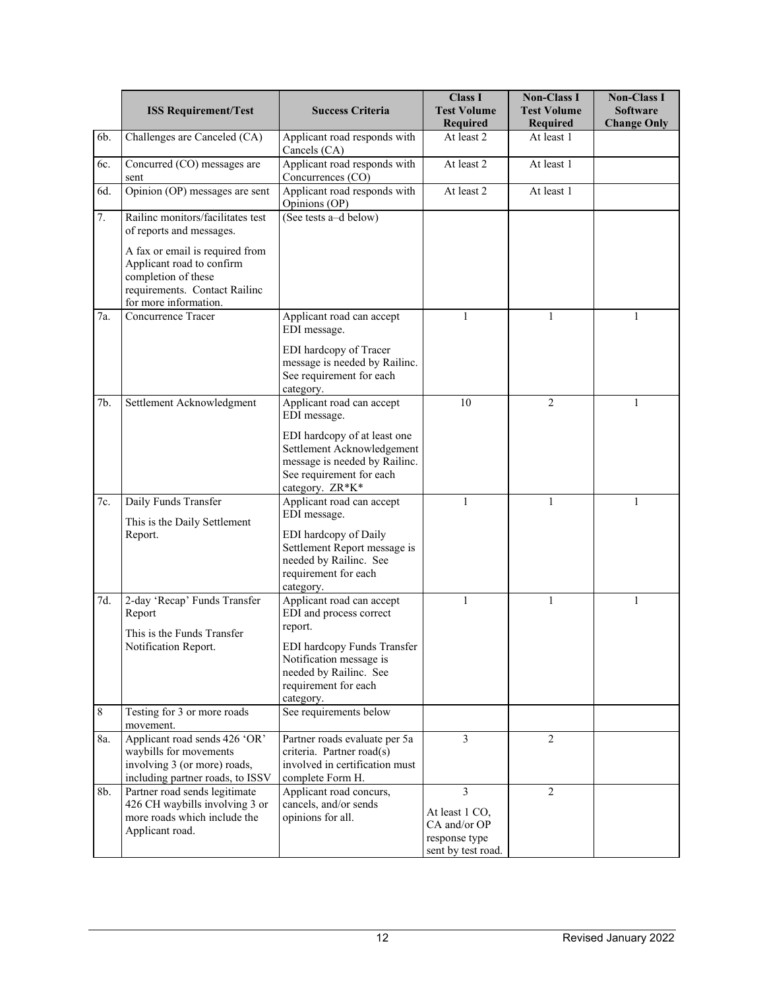|                 | <b>ISS Requirement/Test</b>                                                                                                                   | <b>Success Criteria</b>                                                                                                                    | <b>Class I</b><br><b>Test Volume</b><br>Required                           | <b>Non-Class I</b><br><b>Test Volume</b><br><b>Required</b> | <b>Non-Class I</b><br><b>Software</b><br><b>Change Only</b> |
|-----------------|-----------------------------------------------------------------------------------------------------------------------------------------------|--------------------------------------------------------------------------------------------------------------------------------------------|----------------------------------------------------------------------------|-------------------------------------------------------------|-------------------------------------------------------------|
| 6b.             | Challenges are Canceled (CA)                                                                                                                  | Applicant road responds with<br>Cancels (CA)                                                                                               | At least 2                                                                 | At least 1                                                  |                                                             |
| 6c.             | Concurred (CO) messages are<br>sent                                                                                                           | Applicant road responds with<br>Concurrences (CO)                                                                                          | At least 2                                                                 | At least 1                                                  |                                                             |
| 6d.             | Opinion (OP) messages are sent                                                                                                                | Applicant road responds with<br>Opinions (OP)                                                                                              | At least 2                                                                 | At least 1                                                  |                                                             |
| 7.              | Railine monitors/facilitates test<br>of reports and messages.                                                                                 | (See tests a-d below)                                                                                                                      |                                                                            |                                                             |                                                             |
|                 | A fax or email is required from<br>Applicant road to confirm<br>completion of these<br>requirements. Contact Railinc<br>for more information. |                                                                                                                                            |                                                                            |                                                             |                                                             |
| 7a.             | Concurrence Tracer                                                                                                                            | Applicant road can accept<br>EDI message.                                                                                                  | 1                                                                          | 1                                                           | 1                                                           |
|                 |                                                                                                                                               | EDI hardcopy of Tracer<br>message is needed by Railinc.<br>See requirement for each<br>category.                                           |                                                                            |                                                             |                                                             |
| 7b.             | Settlement Acknowledgment                                                                                                                     | Applicant road can accept<br>EDI message.                                                                                                  | 10                                                                         | $\overline{2}$                                              | 1                                                           |
|                 |                                                                                                                                               | EDI hardcopy of at least one<br>Settlement Acknowledgement<br>message is needed by Railinc.<br>See requirement for each<br>category. ZR*K* |                                                                            |                                                             |                                                             |
| 7c.             | Daily Funds Transfer<br>This is the Daily Settlement                                                                                          | Applicant road can accept<br>EDI message.                                                                                                  | 1                                                                          | 1                                                           | 1                                                           |
|                 | Report.                                                                                                                                       | EDI hardcopy of Daily<br>Settlement Report message is<br>needed by Railinc. See<br>requirement for each<br>category.                       |                                                                            |                                                             |                                                             |
| 7d.             | 2-day 'Recap' Funds Transfer<br>Report                                                                                                        | Applicant road can accept<br>EDI and process correct<br>report.                                                                            | 1                                                                          | 1                                                           | 1                                                           |
|                 | This is the Funds Transfer<br>Notification Report.                                                                                            | EDI hardcopy Funds Transfer<br>Notification message is<br>needed by Railinc. See<br>requirement for each<br>category.                      |                                                                            |                                                             |                                                             |
| $8\phantom{.0}$ | Testing for 3 or more roads<br>movement.                                                                                                      | See requirements below                                                                                                                     |                                                                            |                                                             |                                                             |
| 8a.             | Applicant road sends 426 'OR'<br>waybills for movements<br>involving 3 (or more) roads,<br>including partner roads, to ISSV                   | Partner roads evaluate per 5a<br>criteria. Partner road(s)<br>involved in certification must<br>complete Form H.                           | 3                                                                          | $\overline{2}$                                              |                                                             |
| 8b.             | Partner road sends legitimate<br>426 CH waybills involving 3 or<br>more roads which include the<br>Applicant road.                            | Applicant road concurs,<br>cancels, and/or sends<br>opinions for all.                                                                      | 3<br>At least 1 CO,<br>CA and/or OP<br>response type<br>sent by test road. | $\overline{2}$                                              |                                                             |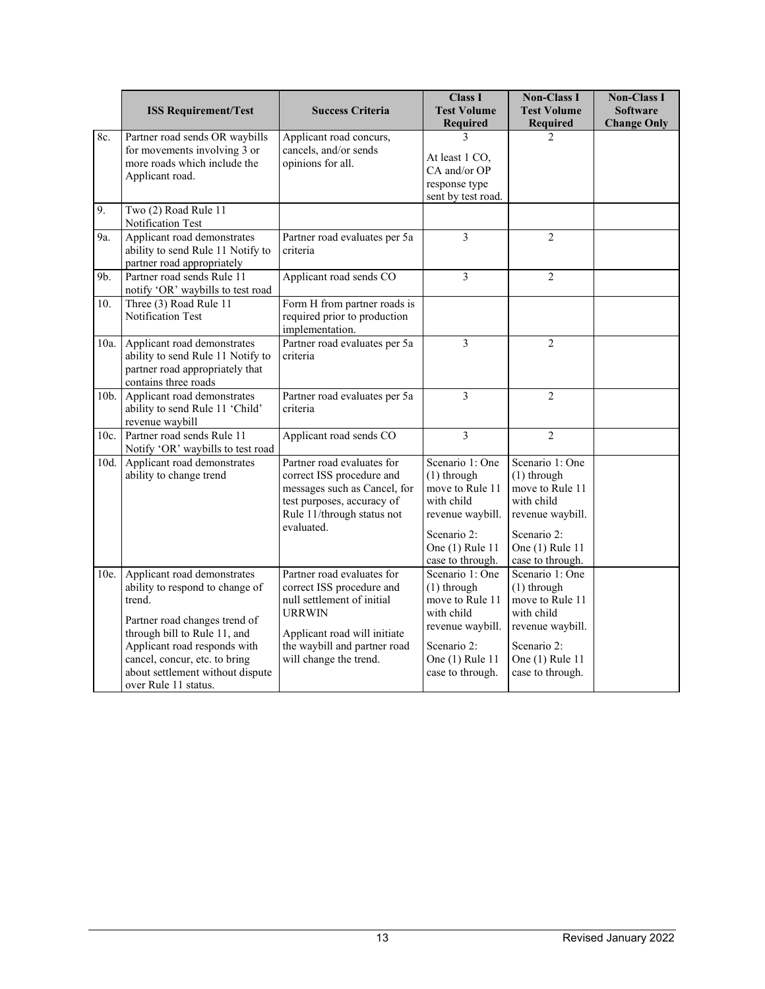|      | <b>ISS Requirement/Test</b>                                                                                                                                                                                                                                            | <b>Success Criteria</b>                                                                                                                                                                          | <b>Class I</b><br><b>Test Volume</b><br><b>Required</b>                                                                                     | <b>Non-Class I</b><br><b>Test Volume</b><br><b>Required</b>                                                                                 | <b>Non-Class I</b><br><b>Software</b><br><b>Change Only</b> |
|------|------------------------------------------------------------------------------------------------------------------------------------------------------------------------------------------------------------------------------------------------------------------------|--------------------------------------------------------------------------------------------------------------------------------------------------------------------------------------------------|---------------------------------------------------------------------------------------------------------------------------------------------|---------------------------------------------------------------------------------------------------------------------------------------------|-------------------------------------------------------------|
| 8c.  | Partner road sends OR waybills<br>for movements involving 3 or<br>more roads which include the<br>Applicant road.                                                                                                                                                      | Applicant road concurs,<br>cancels, and/or sends<br>opinions for all.                                                                                                                            | 3<br>At least 1 CO,<br>CA and/or OP<br>response type<br>sent by test road.                                                                  | $\mathcal{L}$                                                                                                                               |                                                             |
| 9.   | Two (2) Road Rule 11<br>Notification Test                                                                                                                                                                                                                              |                                                                                                                                                                                                  |                                                                                                                                             |                                                                                                                                             |                                                             |
| 9a.  | Applicant road demonstrates<br>ability to send Rule 11 Notify to<br>partner road appropriately                                                                                                                                                                         | Partner road evaluates per 5a<br>criteria                                                                                                                                                        | 3                                                                                                                                           | $\overline{2}$                                                                                                                              |                                                             |
| 9b.  | Partner road sends Rule 11<br>notify 'OR' waybills to test road                                                                                                                                                                                                        | Applicant road sends CO                                                                                                                                                                          | 3                                                                                                                                           | $\overline{2}$                                                                                                                              |                                                             |
| 10.  | Three (3) Road Rule 11<br>Notification Test                                                                                                                                                                                                                            | Form H from partner roads is<br>required prior to production<br>implementation.                                                                                                                  |                                                                                                                                             |                                                                                                                                             |                                                             |
| 10a. | Applicant road demonstrates<br>ability to send Rule 11 Notify to<br>partner road appropriately that<br>contains three roads                                                                                                                                            | Partner road evaluates per 5a<br>criteria                                                                                                                                                        | 3                                                                                                                                           | $\overline{2}$                                                                                                                              |                                                             |
| 10b. | Applicant road demonstrates<br>ability to send Rule 11 'Child'<br>revenue waybill                                                                                                                                                                                      | Partner road evaluates per 5a<br>criteria                                                                                                                                                        | 3                                                                                                                                           | $\overline{2}$                                                                                                                              |                                                             |
| 10c. | Partner road sends Rule 11<br>Notify 'OR' waybills to test road                                                                                                                                                                                                        | Applicant road sends CO                                                                                                                                                                          | 3                                                                                                                                           | $\overline{2}$                                                                                                                              |                                                             |
| 10d. | Applicant road demonstrates<br>ability to change trend                                                                                                                                                                                                                 | Partner road evaluates for<br>correct ISS procedure and<br>messages such as Cancel, for<br>test purposes, accuracy of<br>Rule 11/through status not<br>evaluated.                                | Scenario 1: One<br>$(1)$ through<br>move to Rule 11<br>with child<br>revenue waybill.<br>Scenario 2:<br>One (1) Rule 11<br>case to through. | Scenario 1: One<br>$(1)$ through<br>move to Rule 11<br>with child<br>revenue waybill.<br>Scenario 2:<br>One (1) Rule 11<br>case to through. |                                                             |
| 10e. | Applicant road demonstrates<br>ability to respond to change of<br>trend.<br>Partner road changes trend of<br>through bill to Rule 11, and<br>Applicant road responds with<br>cancel, concur, etc. to bring<br>about settlement without dispute<br>over Rule 11 status. | Partner road evaluates for<br>correct ISS procedure and<br>null settlement of initial<br><b>URRWIN</b><br>Applicant road will initiate<br>the waybill and partner road<br>will change the trend. | Scenario 1: One<br>$(1)$ through<br>move to Rule 11<br>with child<br>revenue waybill.<br>Scenario 2:<br>One (1) Rule 11<br>case to through. | Scenario 1: One<br>(1) through<br>move to Rule 11<br>with child<br>revenue waybill.<br>Scenario 2:<br>One (1) Rule 11<br>case to through.   |                                                             |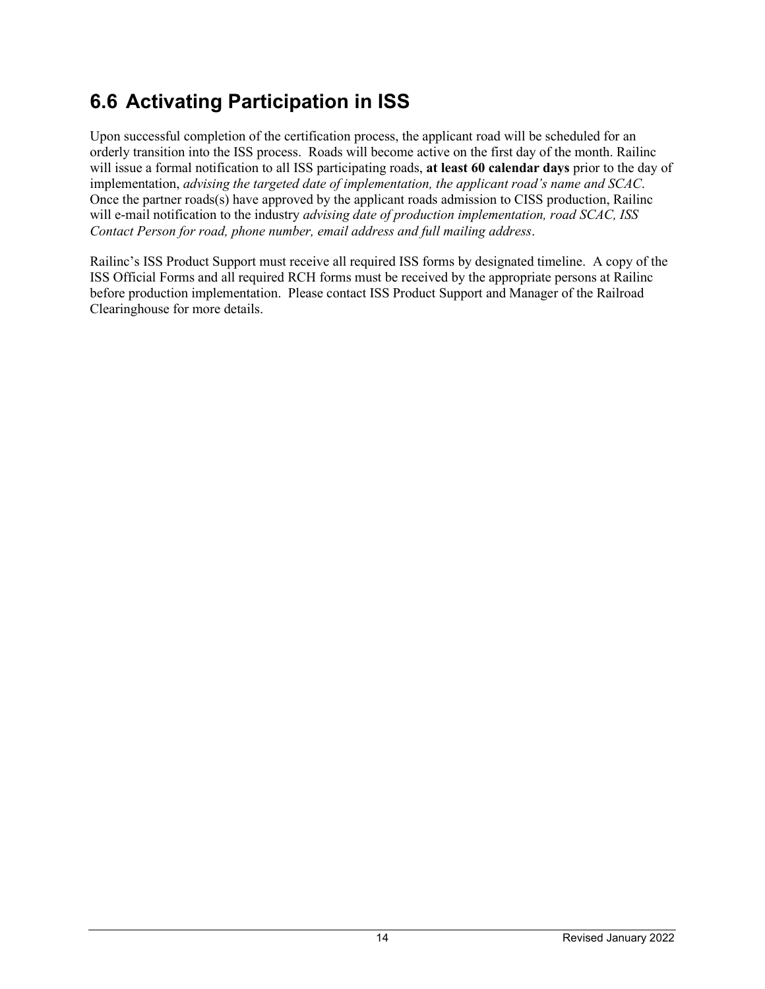### <span id="page-16-0"></span>**6.6 Activating Participation in ISS**

Upon successful completion of the certification process, the applicant road will be scheduled for an orderly transition into the ISS process. Roads will become active on the first day of the month. Railinc will issue a formal notification to all ISS participating roads, **at least 60 calendar days** prior to the day of implementation, *advising the targeted date of implementation, the applicant road's name and SCAC*. Once the partner roads(s) have approved by the applicant roads admission to CISS production, Railinc will e-mail notification to the industry *advising date of production implementation, road SCAC, ISS Contact Person for road, phone number, email address and full mailing address*.

Railinc's ISS Product Support must receive all required ISS forms by designated timeline. A copy of the ISS Official Forms and all required RCH forms must be received by the appropriate persons at Railinc before production implementation. Please contact ISS Product Support and Manager of the Railroad Clearinghouse for more details.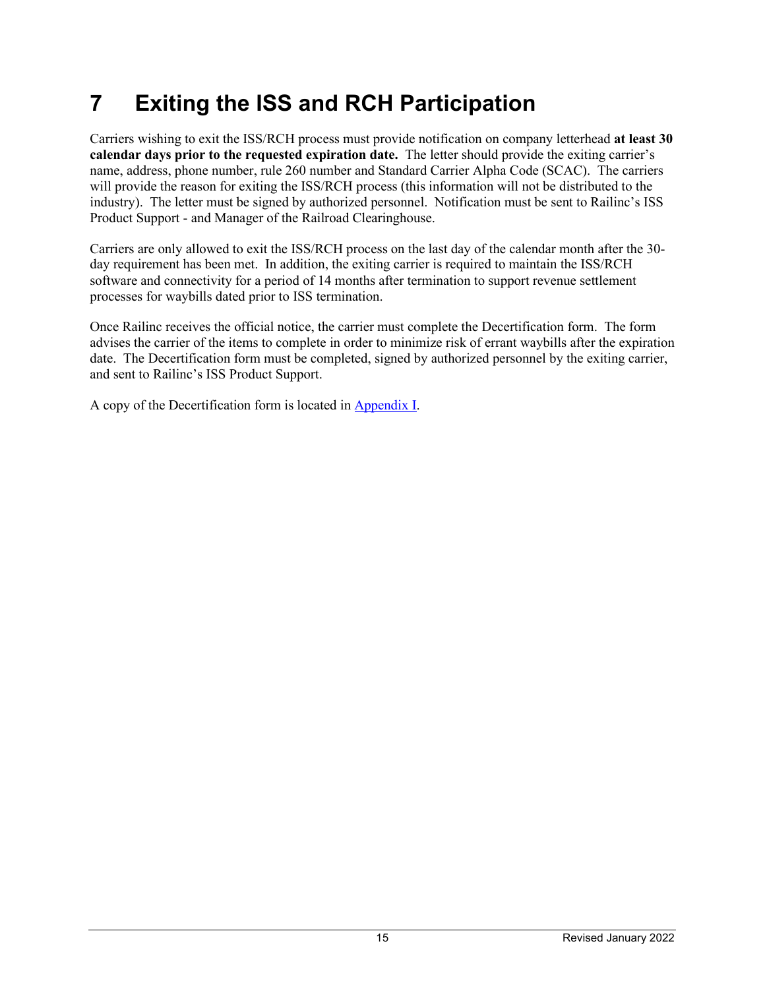## <span id="page-17-0"></span>**7 Exiting the ISS and RCH Participation**

Carriers wishing to exit the ISS/RCH process must provide notification on company letterhead **at least 30 calendar days prior to the requested expiration date.** The letter should provide the exiting carrier's name, address, phone number, rule 260 number and Standard Carrier Alpha Code (SCAC). The carriers will provide the reason for exiting the ISS/RCH process (this information will not be distributed to the industry). The letter must be signed by authorized personnel. Notification must be sent to Railinc's ISS Product Support - and Manager of the Railroad Clearinghouse.

Carriers are only allowed to exit the ISS/RCH process on the last day of the calendar month after the 30 day requirement has been met. In addition, the exiting carrier is required to maintain the ISS/RCH software and connectivity for a period of 14 months after termination to support revenue settlement processes for waybills dated prior to ISS termination.

Once Railinc receives the official notice, the carrier must complete the Decertification form. The form advises the carrier of the items to complete in order to minimize risk of errant waybills after the expiration date. The Decertification form must be completed, signed by authorized personnel by the exiting carrier, and sent to Railinc's ISS Product Support.

A copy of the Decertification form is located i[n Appendix I.](#page-26-0)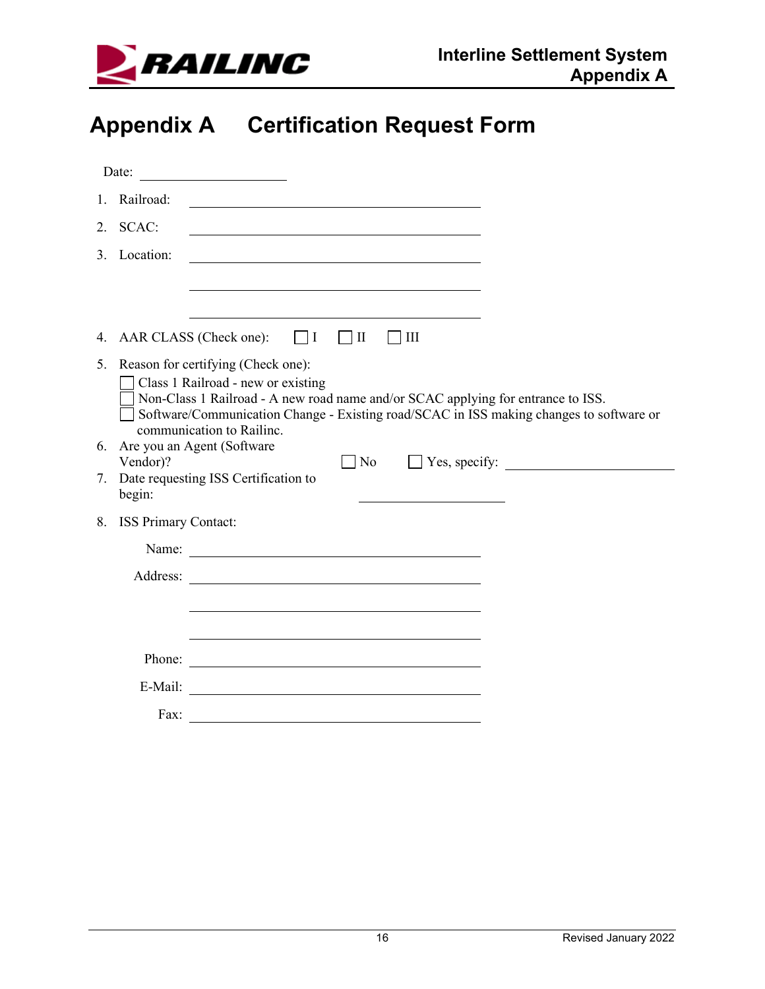

## <span id="page-18-0"></span>**Appendix A Certification Request Form**

|    | Date:                   | <u> 1980 - Jan Jawa Barat, prima provincia prima prima prima prima prima prima prima prima prima prima prima pri</u>                                                                                                                                                                    |
|----|-------------------------|-----------------------------------------------------------------------------------------------------------------------------------------------------------------------------------------------------------------------------------------------------------------------------------------|
|    | 1. Railroad:            |                                                                                                                                                                                                                                                                                         |
|    | 2. SCAC:                |                                                                                                                                                                                                                                                                                         |
|    | 3. Location:            |                                                                                                                                                                                                                                                                                         |
|    |                         |                                                                                                                                                                                                                                                                                         |
|    |                         |                                                                                                                                                                                                                                                                                         |
|    |                         | 4. AAR CLASS (Check one):<br>$\vert \vert$ $\vert$ $\vert$<br>$\vert$ $\vert$ $\vert$ $\vert$ $\vert$ $\vert$ $\vert$ $\vert$<br>$\mathbf{  }$                                                                                                                                          |
|    |                         | 5. Reason for certifying (Check one):<br>Class 1 Railroad - new or existing<br>Non-Class 1 Railroad - A new road name and/or SCAC applying for entrance to ISS.<br>Software/Communication Change - Existing road/SCAC in ISS making changes to software or<br>communication to Railinc. |
| 6. |                         | Are you an Agent (Software<br>$\neg$ No                                                                                                                                                                                                                                                 |
| 7. | Vendor)?<br>begin:      | Date requesting ISS Certification to                                                                                                                                                                                                                                                    |
|    | 8. ISS Primary Contact: |                                                                                                                                                                                                                                                                                         |
|    |                         | Name:                                                                                                                                                                                                                                                                                   |
|    |                         | Address: <u>New York: Address:</u>                                                                                                                                                                                                                                                      |
|    |                         |                                                                                                                                                                                                                                                                                         |
|    |                         |                                                                                                                                                                                                                                                                                         |
|    | Phone:                  | <u> 1989 - Johann Barn, fransk politik (d. 1989)</u>                                                                                                                                                                                                                                    |
|    | E-Mail:                 |                                                                                                                                                                                                                                                                                         |
|    | Fax:                    |                                                                                                                                                                                                                                                                                         |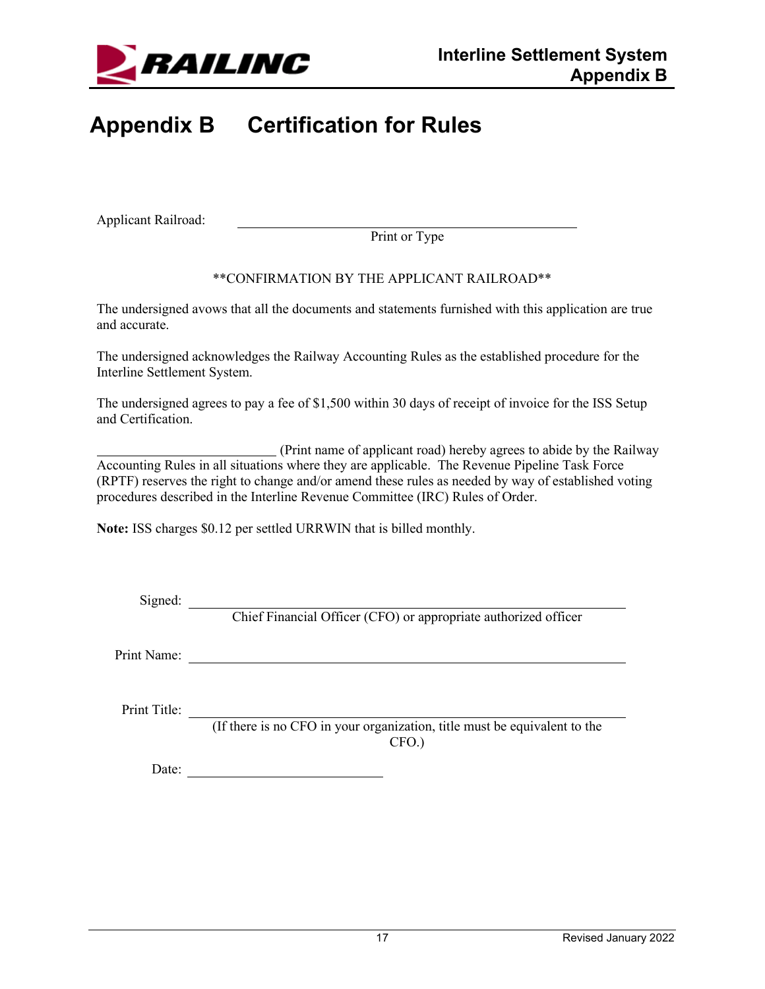

## <span id="page-19-0"></span>**Appendix B Certification for Rules**

Applicant Railroad:

Print or Type

#### \*\*CONFIRMATION BY THE APPLICANT RAILROAD\*\*

The undersigned avows that all the documents and statements furnished with this application are true and accurate.

The undersigned acknowledges the Railway Accounting Rules as the established procedure for the Interline Settlement System.

The undersigned agrees to pay a fee of \$1,500 within 30 days of receipt of invoice for the ISS Setup and Certification.

(Print name of applicant road) hereby agrees to abide by the Railway Accounting Rules in all situations where they are applicable. The Revenue Pipeline Task Force (RPTF) reserves the right to change and/or amend these rules as needed by way of established voting procedures described in the Interline Revenue Committee (IRC) Rules of Order.

**Note:** ISS charges \$0.12 per settled URRWIN that is billed monthly.

Signed:

Chief Financial Officer (CFO) or appropriate authorized officer

Print Name:

Print Title:

(If there is no CFO in your organization, title must be equivalent to the CFO.)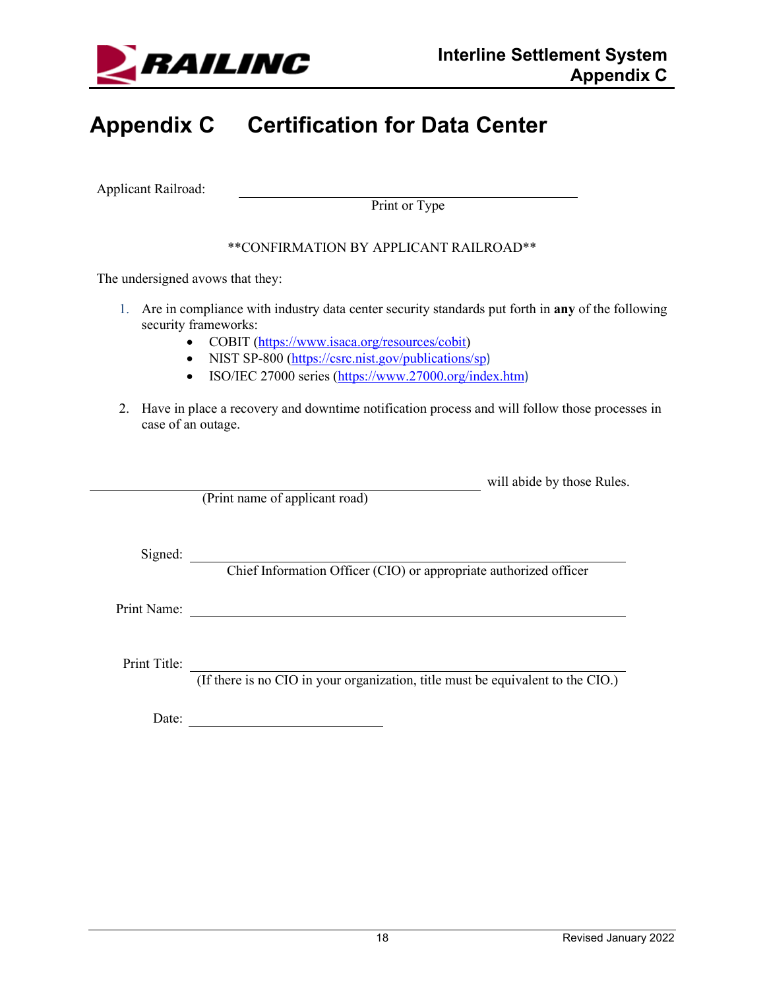

## <span id="page-20-0"></span>**Appendix C Certification for Data Center**

Applicant Railroad:

Print or Type

#### \*\*CONFIRMATION BY APPLICANT RAILROAD\*\*

The undersigned avows that they:

- 1. Are in compliance with industry data center security standards put forth in **any** of the following security frameworks:
	- COBIT [\(https://www.isaca.org/resources/cobit\)](https://www.isaca.org/resources/cobit)
	- NIST SP-800 [\(https://csrc.nist.gov/publications/sp](https://csrc.nist.gov/publications/sp))
	- ISO/IEC 27000 series [\(https://www.27000.org/index.htm](https://www.27000.org/index.htm))
- 2. Have in place a recovery and downtime notification process and will follow those processes in case of an outage.

will abide by those Rules.

(Print name of applicant road)

Signed:

Chief Information Officer (CIO) or appropriate authorized officer

Print Name: 2008. Example 2014 19:00 and 2014 19:00 and 2014 19:00 and 2014 19:00 and 2014 19:00 and 2014 19:00 and 2014 19:00 and 2014 19:00 and 2014 19:00 and 2014 19:00 and 2014 19:00 and 2014 19:00 and 2014 19:00 and 2

Print Title:

(If there is no CIO in your organization, title must be equivalent to the CIO.)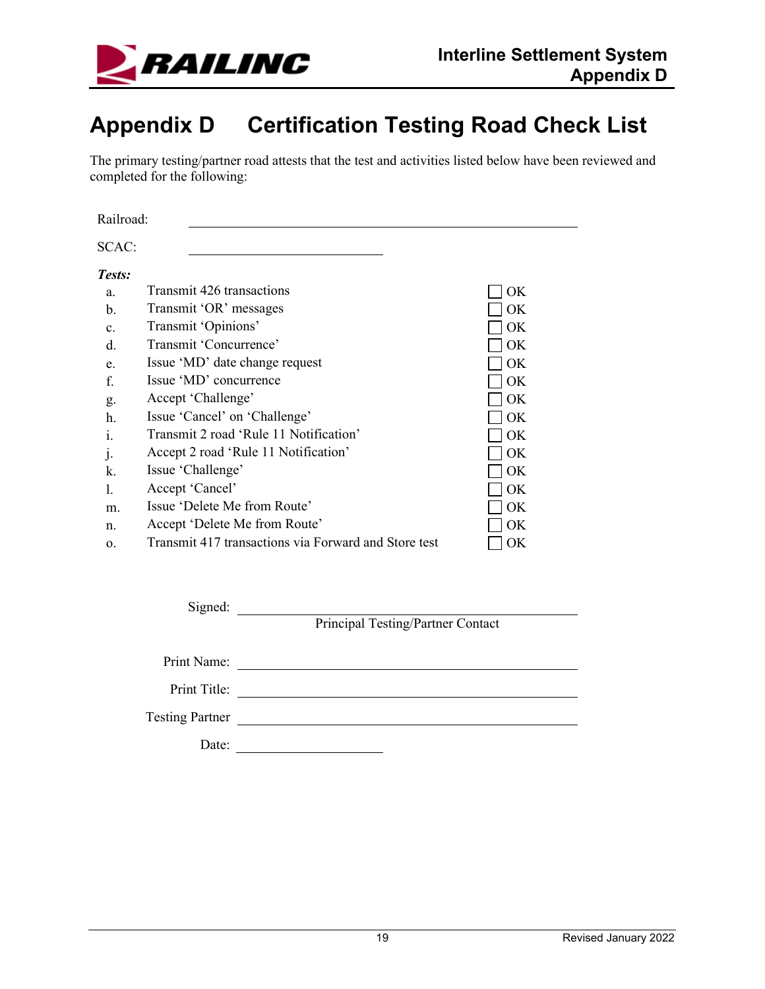

### <span id="page-21-0"></span>**Appendix D Certification Testing Road Check List**

The primary testing/partner road attests that the test and activities listed below have been reviewed and completed for the following:

Railroad:

| SCAC:          |                                                      |     |
|----------------|------------------------------------------------------|-----|
| Tests:         |                                                      |     |
| a.             | Transmit 426 transactions                            | OK  |
| b.             | Transmit 'OR' messages                               | OK  |
| $\mathbf{c}$ . | Transmit 'Opinions'                                  | OK. |
| d.             | Transmit 'Concurrence'                               | OK. |
| e.             | Issue 'MD' date change request                       | OK  |
| f.             | Issue 'MD' concurrence                               | ОK  |
| g.             | Accept 'Challenge'                                   | OK. |
| h.             | Issue 'Cancel' on 'Challenge'                        | OK. |
| 1.             | Transmit 2 road 'Rule 11 Notification'               | OK  |
| $\mathbf{1}$   | Accept 2 road 'Rule 11 Notification'                 | OK  |
| k.             | Issue 'Challenge'                                    | OK  |
|                | Accept 'Cancel'                                      | ОK  |
| m.             | Issue 'Delete Me from Route'                         | ОK  |
| n.             | Accept 'Delete Me from Route'                        | OK  |
| 0.             | Transmit 417 transactions via Forward and Store test | OК  |

Signed:

Principal Testing/Partner Contact

Print Name: Print Title: Testing Partner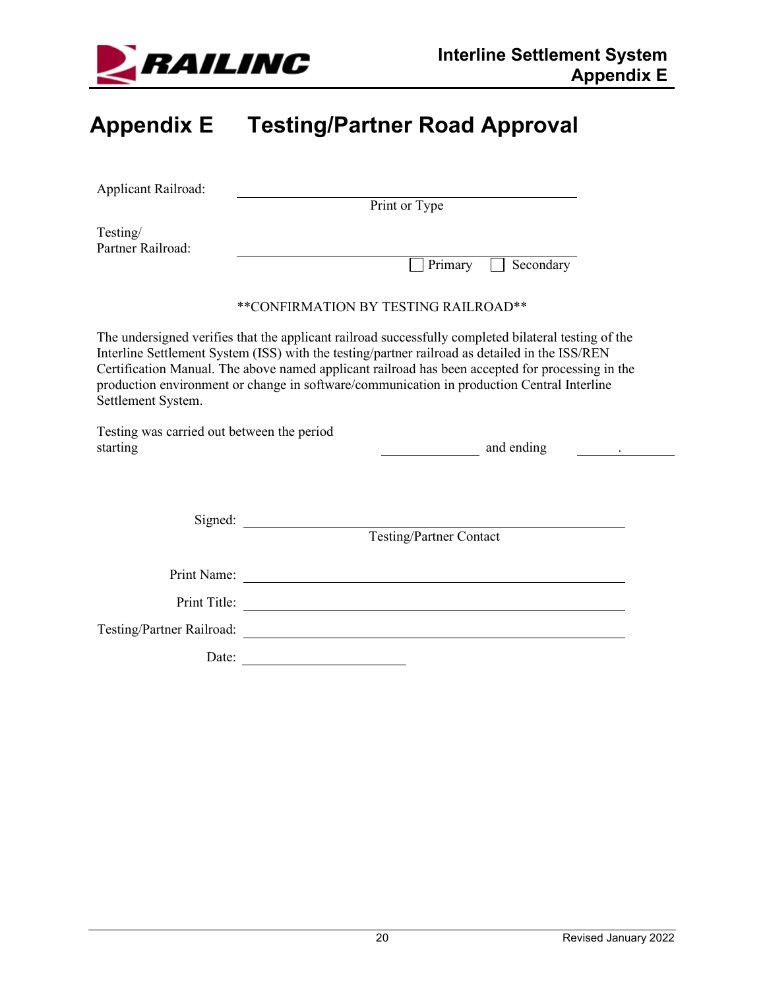

## <span id="page-22-0"></span>**Appendix E Testing/Partner Road Approval**

| Applicant Railroad:                                    |                                                                                                                                                                                                                                                                                                                                                                                                          |
|--------------------------------------------------------|----------------------------------------------------------------------------------------------------------------------------------------------------------------------------------------------------------------------------------------------------------------------------------------------------------------------------------------------------------------------------------------------------------|
|                                                        | Print or Type                                                                                                                                                                                                                                                                                                                                                                                            |
| Testing/<br>Partner Railroad:                          |                                                                                                                                                                                                                                                                                                                                                                                                          |
|                                                        | Primary<br>$\Box$ Secondary                                                                                                                                                                                                                                                                                                                                                                              |
|                                                        | **CONFIRMATION BY TESTING RAILROAD**                                                                                                                                                                                                                                                                                                                                                                     |
| Settlement System.                                     | The undersigned verifies that the applicant railroad successfully completed bilateral testing of the<br>Interline Settlement System (ISS) with the testing/partner railroad as detailed in the ISS/REN<br>Certification Manual. The above named applicant railroad has been accepted for processing in the<br>production environment or change in software/communication in production Central Interline |
| Testing was carried out between the period<br>starting | and ending                                                                                                                                                                                                                                                                                                                                                                                               |
|                                                        | Testing/Partner Contact                                                                                                                                                                                                                                                                                                                                                                                  |
|                                                        |                                                                                                                                                                                                                                                                                                                                                                                                          |
|                                                        |                                                                                                                                                                                                                                                                                                                                                                                                          |
| Testing/Partner Railroad:                              | <u> 1989 - Johann Barn, mars eta bainar eta bainar eta baina eta baina eta baina eta baina eta baina eta baina e</u>                                                                                                                                                                                                                                                                                     |
|                                                        | Date:                                                                                                                                                                                                                                                                                                                                                                                                    |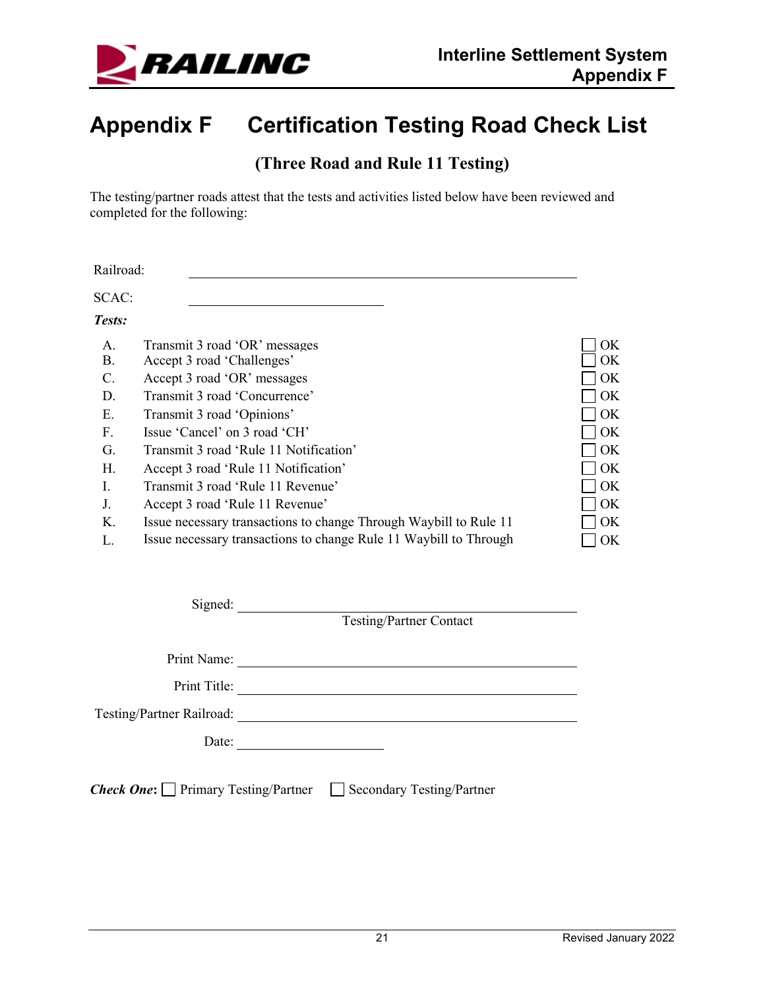

## <span id="page-23-0"></span>**Appendix F Certification Testing Road Check List**

#### **(Three Road and Rule 11 Testing)**

The testing/partner roads attest that the tests and activities listed below have been reviewed and completed for the following:

Railroad:

SCAC:

*Tests:*

| Transmit 3 road 'OR' messages<br>Accept 3 road 'Challenges'       | OK.<br>OK. |
|-------------------------------------------------------------------|------------|
| Accept 3 road 'OR' messages                                       | OK         |
| Transmit 3 road 'Concurrence'                                     | OK         |
| Transmit 3 road 'Opinions'                                        | OK         |
| Issue 'Cancel' on 3 road 'CH'                                     | OK         |
| Transmit 3 road 'Rule 11 Notification'                            | OK         |
| Accept 3 road 'Rule 11 Notification'                              | OK         |
| Transmit 3 road 'Rule 11 Revenue'                                 | OK         |
| Accept 3 road 'Rule 11 Revenue'                                   | OK         |
| Issue necessary transactions to change Through Waybill to Rule 11 | OK         |
| Issue necessary transactions to change Rule 11 Waybill to Through | OK         |
|                                                                   |            |

| Signed:                                          |                                  |
|--------------------------------------------------|----------------------------------|
|                                                  | Testing/Partner Contact          |
|                                                  |                                  |
| Print Name:                                      |                                  |
| Print Title:                                     |                                  |
| Testing/Partner Railroad:                        |                                  |
| Date:                                            |                                  |
|                                                  |                                  |
| <b>Check One:</b> $\Box$ Primary Testing/Partner | <b>Secondary Testing/Partner</b> |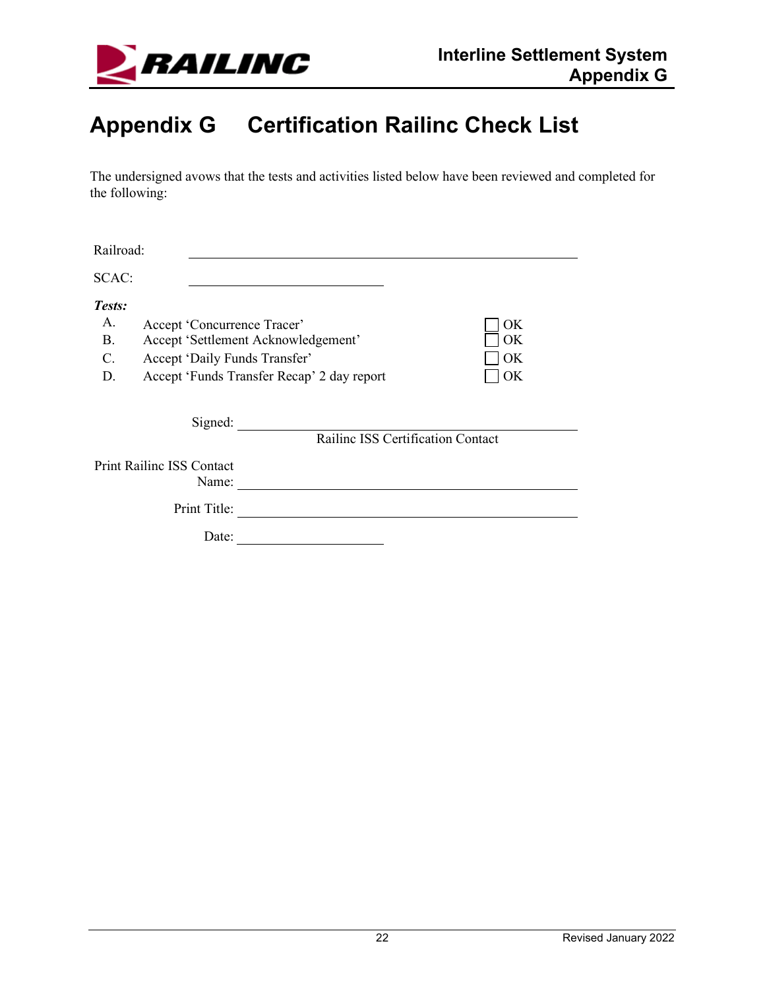

## <span id="page-24-0"></span>**Appendix G Certification Railinc Check List**

The undersigned avows that the tests and activities listed below have been reviewed and completed for the following:

| Railroad: |                                           |                                                  |    |  |  |
|-----------|-------------------------------------------|--------------------------------------------------|----|--|--|
| SCAC:     |                                           |                                                  |    |  |  |
| Tests:    |                                           |                                                  |    |  |  |
| A.        | Accept 'Concurrence Tracer'               |                                                  | OK |  |  |
| <b>B.</b> |                                           | Accept 'Settlement Acknowledgement'<br>OK        |    |  |  |
| C.        |                                           | Accept 'Daily Funds Transfer'<br>OK              |    |  |  |
| D.        |                                           | Accept 'Funds Transfer Recap' 2 day report<br>OK |    |  |  |
|           | Signed:                                   | Railine ISS Certification Contact                |    |  |  |
|           | <b>Print Railinc ISS Contact</b><br>Name: |                                                  |    |  |  |
|           | Print Title:                              |                                                  |    |  |  |
|           | Date:                                     |                                                  |    |  |  |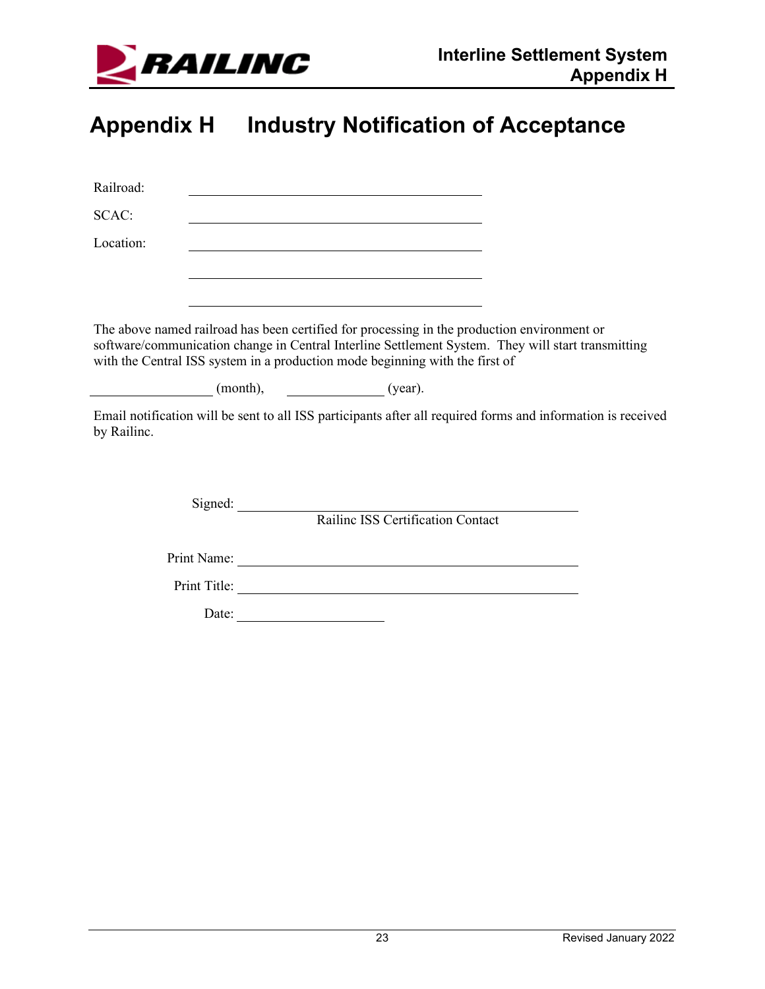

## <span id="page-25-0"></span>**Appendix H Industry Notification of Acceptance**

| Railroad:   |                                                                                                                                                                                                                                                                                   |  |
|-------------|-----------------------------------------------------------------------------------------------------------------------------------------------------------------------------------------------------------------------------------------------------------------------------------|--|
| SCAC:       |                                                                                                                                                                                                                                                                                   |  |
| Location:   |                                                                                                                                                                                                                                                                                   |  |
|             |                                                                                                                                                                                                                                                                                   |  |
|             |                                                                                                                                                                                                                                                                                   |  |
|             | The above named railroad has been certified for processing in the production environment or<br>software/communication change in Central Interline Settlement System. They will start transmitting<br>with the Central ISS system in a production mode beginning with the first of |  |
|             | $(month),$ $(year).$                                                                                                                                                                                                                                                              |  |
| by Railinc. | Email notification will be sent to all ISS participants after all required forms and information is received                                                                                                                                                                      |  |
|             |                                                                                                                                                                                                                                                                                   |  |
|             | Railine ISS Certification Contact                                                                                                                                                                                                                                                 |  |
|             |                                                                                                                                                                                                                                                                                   |  |
|             | Print Title:                                                                                                                                                                                                                                                                      |  |
|             | Date: $\qquad \qquad$                                                                                                                                                                                                                                                             |  |
|             |                                                                                                                                                                                                                                                                                   |  |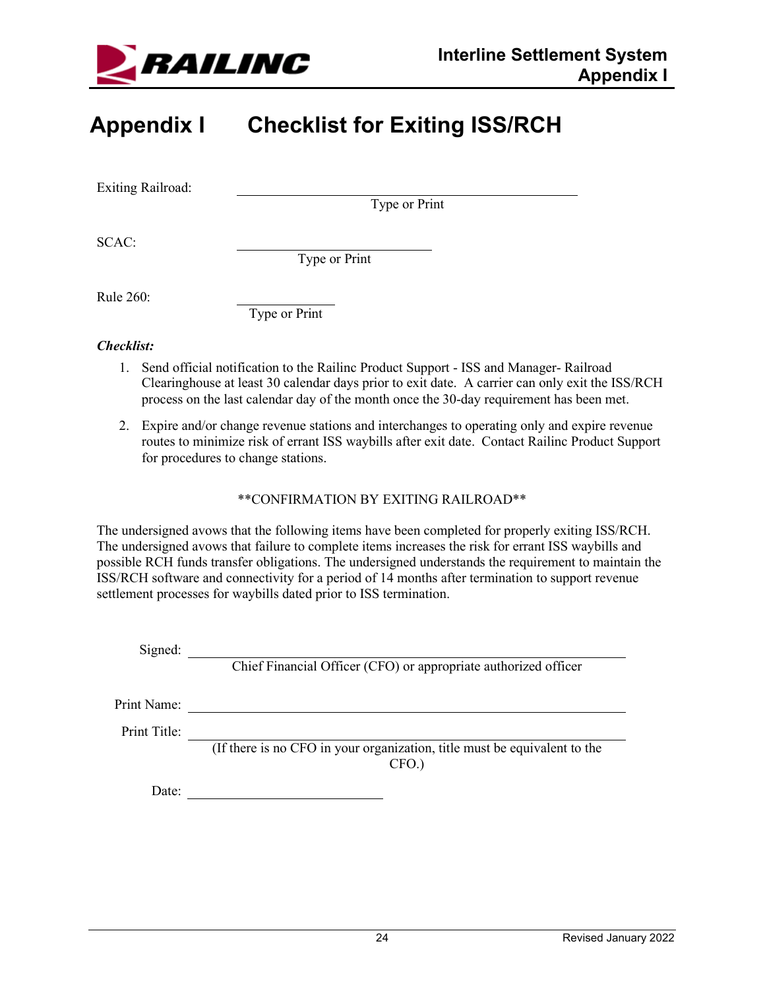

## <span id="page-26-0"></span>**Appendix I Checklist for Exiting ISS/RCH**

Exiting Railroad:

Type or Print

SCAC:

Type or Print

Rule 260:

Type or Print

#### *Checklist:*

- 1. Send official notification to the Railinc Product Support ISS and Manager- Railroad Clearinghouse at least 30 calendar days prior to exit date. A carrier can only exit the ISS/RCH process on the last calendar day of the month once the 30-day requirement has been met.
- 2. Expire and/or change revenue stations and interchanges to operating only and expire revenue routes to minimize risk of errant ISS waybills after exit date. Contact Railinc Product Support for procedures to change stations.

#### \*\*CONFIRMATION BY EXITING RAILROAD\*\*

The undersigned avows that the following items have been completed for properly exiting ISS/RCH. The undersigned avows that failure to complete items increases the risk for errant ISS waybills and possible RCH funds transfer obligations. The undersigned understands the requirement to maintain the ISS/RCH software and connectivity for a period of 14 months after termination to support revenue settlement processes for waybills dated prior to ISS termination.

Signed:

Chief Financial Officer (CFO) or appropriate authorized officer

Print Name:

Print Title:

(If there is no CFO in your organization, title must be equivalent to the CFO.)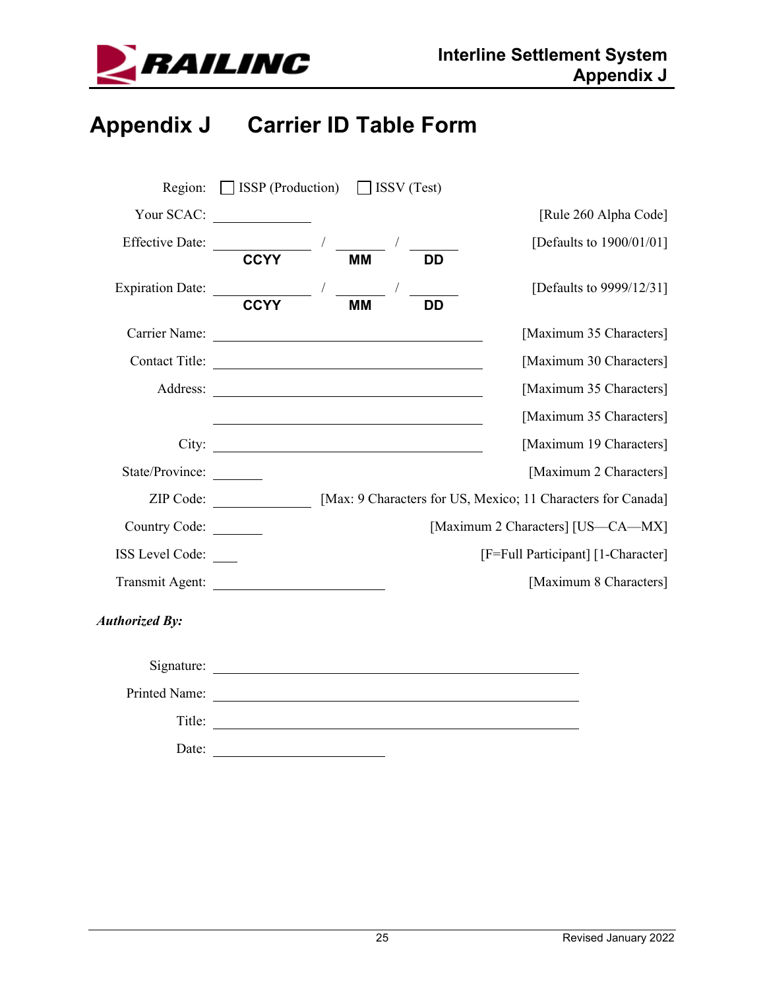

## <span id="page-27-0"></span>**Appendix J Carrier ID Table Form**

| Region:               | $\Box$ ISSP (Production) $\Box$ ISSV (Test) |           |           |                                                              |
|-----------------------|---------------------------------------------|-----------|-----------|--------------------------------------------------------------|
|                       | Your SCAC:                                  |           |           | [Rule 260 Alpha Code]                                        |
| Effective Date:       |                                             |           |           | [Defaults to 1900/01/01]                                     |
|                       | <b>CCYY</b>                                 | <b>MM</b> | DD        |                                                              |
| Expiration Date: CCYY |                                             |           |           | [Defaults to 9999/12/31]                                     |
|                       |                                             | <b>MM</b> | <b>DD</b> |                                                              |
|                       |                                             |           |           | [Maximum 35 Characters]                                      |
|                       | Contact Title:                              |           |           | [Maximum 30 Characters]                                      |
|                       | Address:                                    |           |           | [Maximum 35 Characters]                                      |
|                       |                                             |           |           | [Maximum 35 Characters]                                      |
|                       |                                             |           |           | [Maximum 19 Characters]                                      |
| State/Province:       |                                             |           |           | [Maximum 2 Characters]                                       |
|                       | ZIP Code:                                   |           |           | [Max: 9 Characters for US, Mexico; 11 Characters for Canada] |
| Country Code:         |                                             |           |           | [Maximum 2 Characters] [US-CA-MX]                            |
| ISS Level Code:       |                                             |           |           | [F=Full Participant] [1-Character]                           |
| Transmit Agent:       |                                             |           |           | [Maximum 8 Characters]                                       |
| <b>Authorized By:</b> |                                             |           |           |                                                              |
|                       |                                             |           |           |                                                              |
| Printed Name:         |                                             |           |           |                                                              |
| Title:                |                                             |           |           |                                                              |
| Date:                 |                                             |           |           |                                                              |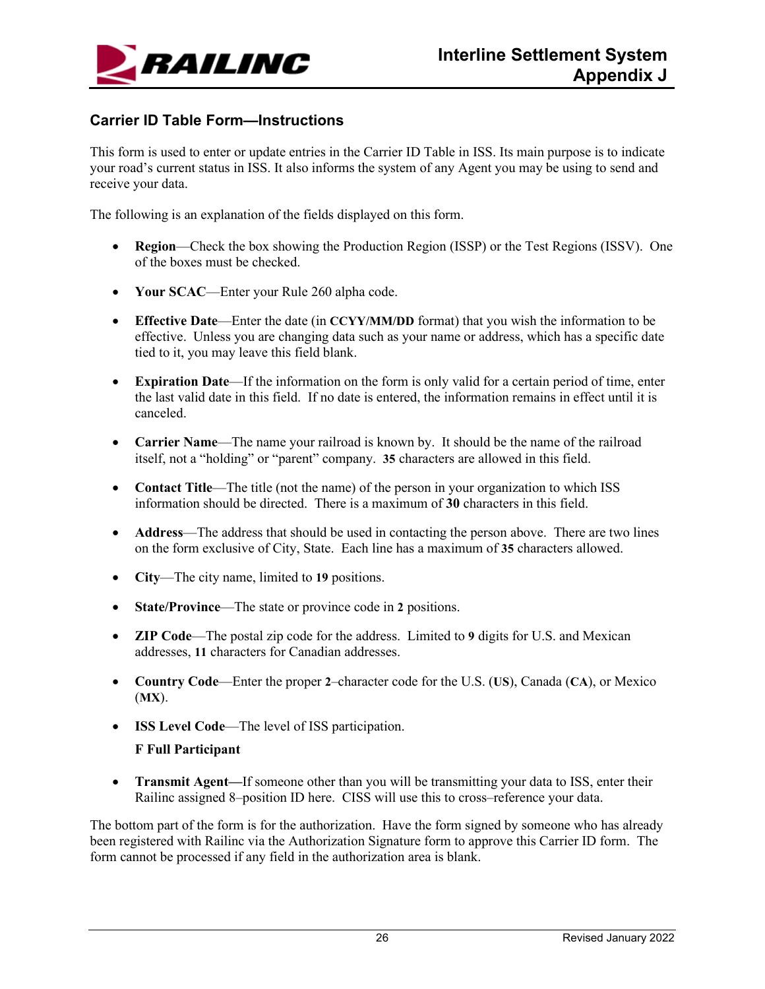

#### **Carrier ID Table Form—Instructions**

This form is used to enter or update entries in the Carrier ID Table in ISS. Its main purpose is to indicate your road's current status in ISS. It also informs the system of any Agent you may be using to send and receive your data.

The following is an explanation of the fields displayed on this form.

- **Region**—Check the box showing the Production Region (ISSP) or the Test Regions (ISSV). One of the boxes must be checked.
- **Your SCAC**—Enter your Rule 260 alpha code.
- **Effective Date**—Enter the date (in **CCYY/MM/DD** format) that you wish the information to be effective. Unless you are changing data such as your name or address, which has a specific date tied to it, you may leave this field blank.
- **Expiration Date**—If the information on the form is only valid for a certain period of time, enter the last valid date in this field. If no date is entered, the information remains in effect until it is canceled.
- **Carrier Name**—The name your railroad is known by. It should be the name of the railroad itself, not a "holding" or "parent" company. **35** characters are allowed in this field.
- **Contact Title—The title (not the name) of the person in your organization to which ISS** information should be directed. There is a maximum of **30** characters in this field.
- **Address**—The address that should be used in contacting the person above. There are two lines on the form exclusive of City, State. Each line has a maximum of **35** characters allowed.
- **City**—The city name, limited to **19** positions.
- **State/Province**—The state or province code in **2** positions.
- **ZIP Code**—The postal zip code for the address. Limited to **9** digits for U.S. and Mexican addresses, **11** characters for Canadian addresses.
- **Country Code**—Enter the proper **2**–character code for the U.S. (**US**), Canada (**CA**), or Mexico (**MX**).
- **ISS Level Code**—The level of ISS participation.

#### **F Full Participant**

• **Transmit Agent—If** someone other than you will be transmitting your data to ISS, enter their Railinc assigned 8–position ID here. CISS will use this to cross–reference your data.

The bottom part of the form is for the authorization. Have the form signed by someone who has already been registered with Railinc via the Authorization Signature form to approve this Carrier ID form. The form cannot be processed if any field in the authorization area is blank.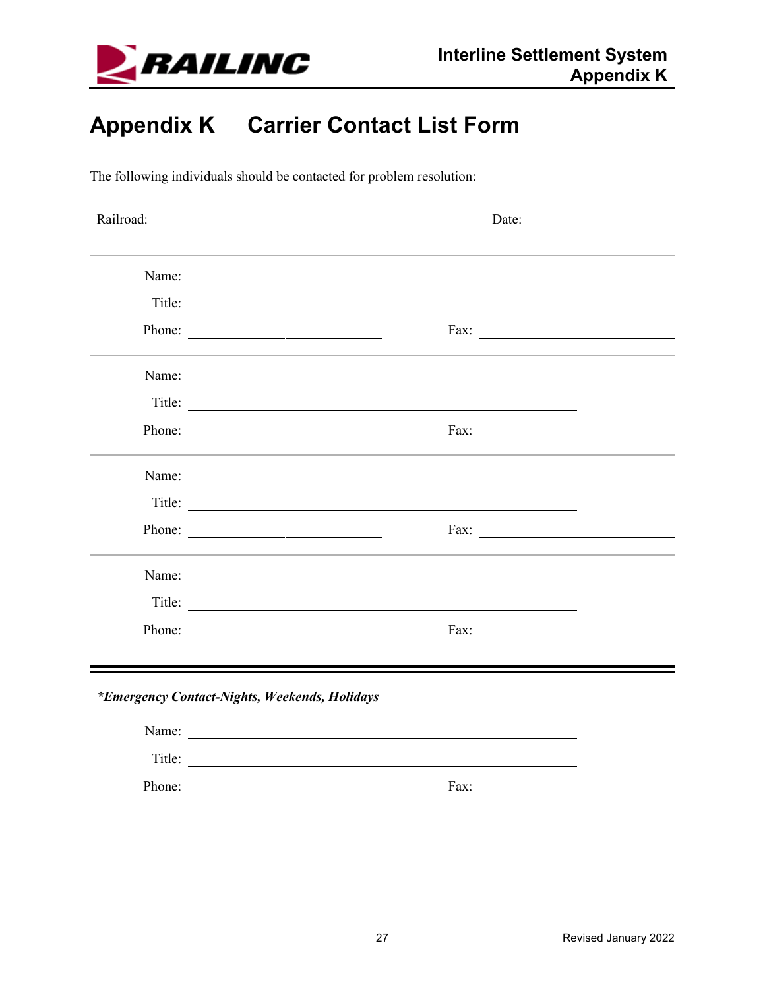

## <span id="page-29-0"></span>**Appendix K Carrier Contact List Form**

The following individuals should be contacted for problem resolution:

| Railroad:                                     | Date:<br><u> 1989 - Johann Barn, mars ann an t-Amhain Aonaich an t-Aonaich an t-Aonaich ann an t-Aonaich ann an t-Aonaich</u> |  |  |  |
|-----------------------------------------------|-------------------------------------------------------------------------------------------------------------------------------|--|--|--|
|                                               |                                                                                                                               |  |  |  |
| Name:                                         |                                                                                                                               |  |  |  |
|                                               | Title:                                                                                                                        |  |  |  |
|                                               | Phone:                                                                                                                        |  |  |  |
| Name:                                         |                                                                                                                               |  |  |  |
|                                               | Title:                                                                                                                        |  |  |  |
|                                               | Phone:                                                                                                                        |  |  |  |
|                                               |                                                                                                                               |  |  |  |
| Name:                                         |                                                                                                                               |  |  |  |
|                                               | Title:                                                                                                                        |  |  |  |
|                                               | Phone: $\qquad \qquad$                                                                                                        |  |  |  |
| Name:                                         |                                                                                                                               |  |  |  |
|                                               |                                                                                                                               |  |  |  |
|                                               |                                                                                                                               |  |  |  |
|                                               | Phone:<br>Fax: $\frac{1}{\sqrt{1-\frac{1}{2}} \left(1-\frac{1}{2}\right)}$                                                    |  |  |  |
| *Emergency Contact-Nights, Weekends, Holidays |                                                                                                                               |  |  |  |
|                                               | Name:                                                                                                                         |  |  |  |
|                                               | Title:                                                                                                                        |  |  |  |
| Phone:                                        | Fax:                                                                                                                          |  |  |  |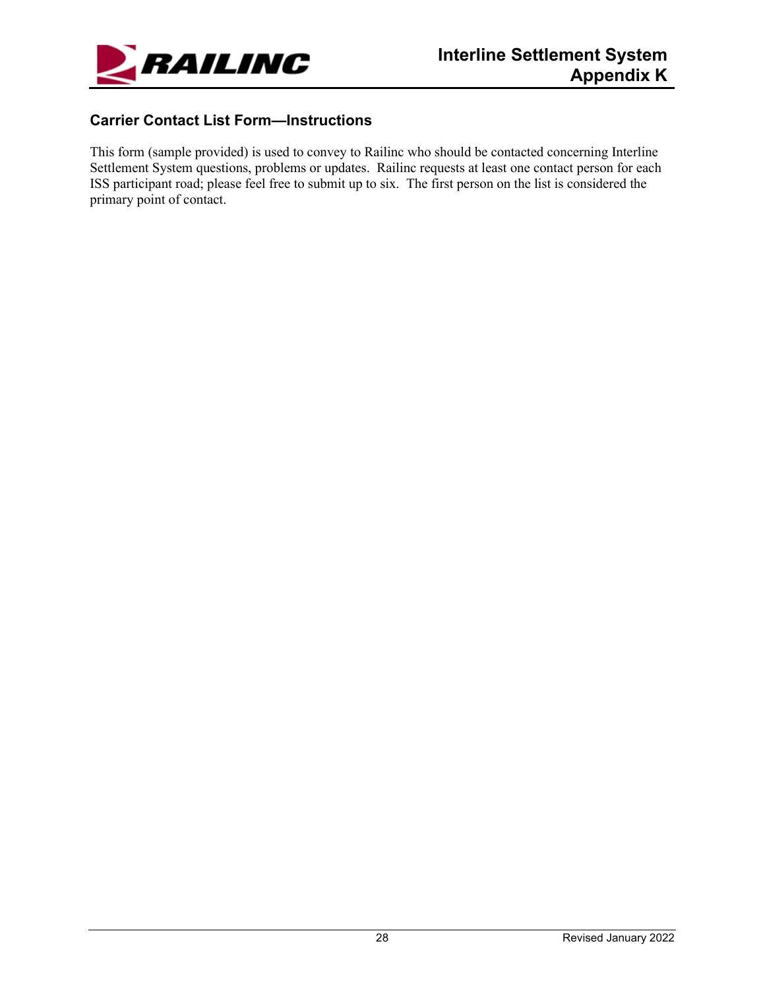

#### **Carrier Contact List Form—Instructions**

This form (sample provided) is used to convey to Railinc who should be contacted concerning Interline Settlement System questions, problems or updates. Railinc requests at least one contact person for each ISS participant road; please feel free to submit up to six. The first person on the list is considered the primary point of contact.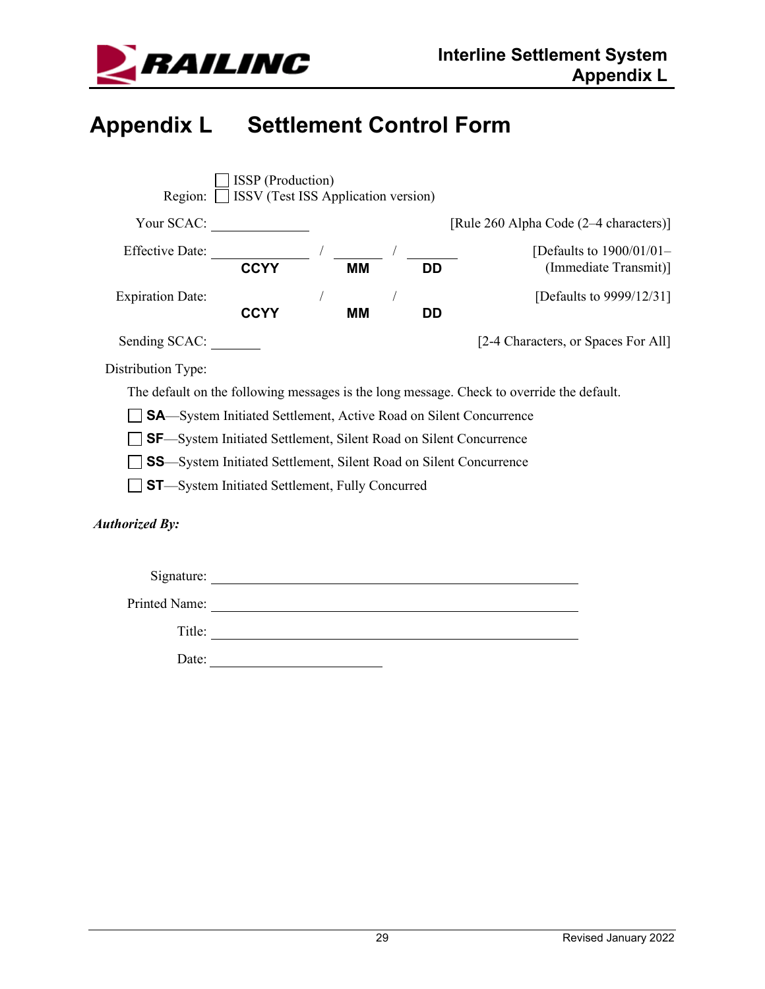

## <span id="page-31-0"></span>**Appendix L Settlement Control Form**

|                                                         | <b>ISSP</b> (Production)<br>Region: SISS (Test ISS Application version)   |  |           |  |           |                                                                                           |
|---------------------------------------------------------|---------------------------------------------------------------------------|--|-----------|--|-----------|-------------------------------------------------------------------------------------------|
| Your SCAC:                                              |                                                                           |  |           |  |           | [Rule 260 Alpha Code (2–4 characters)]                                                    |
| <b>Effective Date:</b>                                  | <b>CCYY</b>                                                               |  | <b>MM</b> |  | <b>DD</b> | [Defaults to $1900/01/01-$<br>(Immediate Transmit)]                                       |
| <b>Expiration Date:</b>                                 | <b>CCYY</b>                                                               |  | MМ        |  | <b>DD</b> | [Defaults to 9999/12/31]                                                                  |
| Sending SCAC:                                           |                                                                           |  |           |  |           | [2-4 Characters, or Spaces For All]                                                       |
| Distribution Type:                                      |                                                                           |  |           |  |           |                                                                                           |
|                                                         |                                                                           |  |           |  |           | The default on the following messages is the long message. Check to override the default. |
|                                                         | <b>SA</b> —System Initiated Settlement, Active Road on Silent Concurrence |  |           |  |           |                                                                                           |
|                                                         | <b>SF</b> —System Initiated Settlement, Silent Road on Silent Concurrence |  |           |  |           |                                                                                           |
|                                                         | <b>SS</b> —System Initiated Settlement, Silent Road on Silent Concurrence |  |           |  |           |                                                                                           |
| <b>ST</b> -System Initiated Settlement, Fully Concurred |                                                                           |  |           |  |           |                                                                                           |
| <b>Authorized By:</b>                                   |                                                                           |  |           |  |           |                                                                                           |
| Signature:                                              |                                                                           |  |           |  |           |                                                                                           |
| Printed Name:                                           |                                                                           |  |           |  |           |                                                                                           |

Title: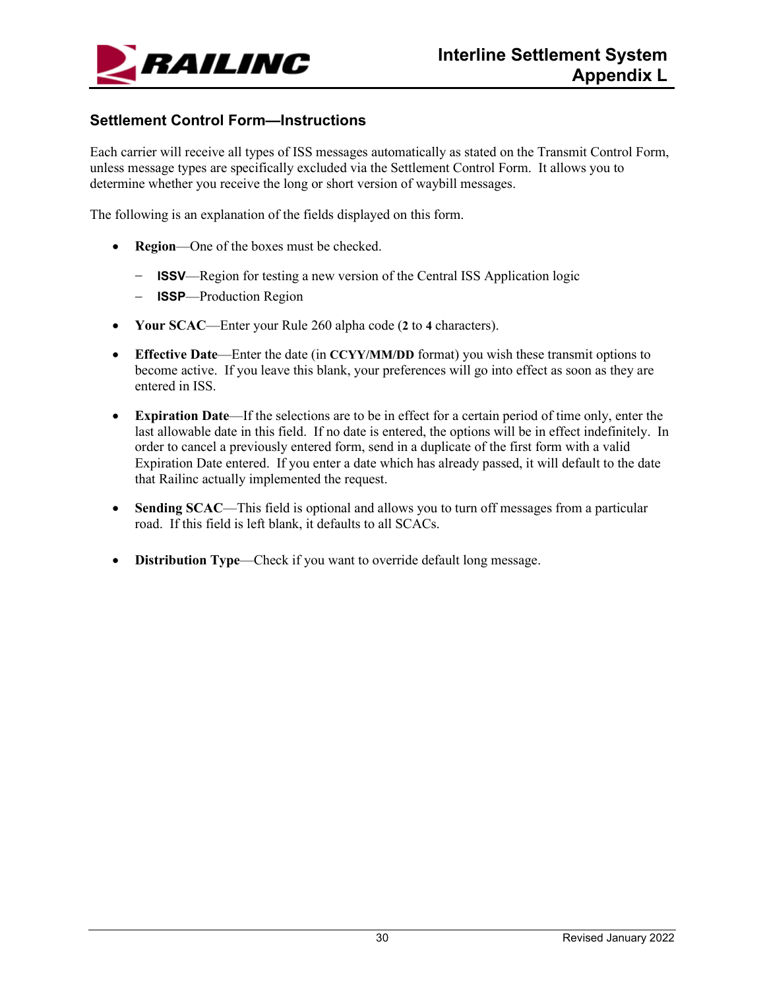

#### **Settlement Control Form—Instructions**

Each carrier will receive all types of ISS messages automatically as stated on the Transmit Control Form, unless message types are specifically excluded via the Settlement Control Form. It allows you to determine whether you receive the long or short version of waybill messages.

The following is an explanation of the fields displayed on this form.

- **Region**—One of the boxes must be checked.
	- − **ISSV**—Region for testing a new version of the Central ISS Application logic
	- − **ISSP**—Production Region
- **Your SCAC**—Enter your Rule 260 alpha code (**2** to **4** characters).
- **Effective Date—Enter the date (in CCYY/MM/DD** format) you wish these transmit options to become active. If you leave this blank, your preferences will go into effect as soon as they are entered in ISS.
- **Expiration Date**—If the selections are to be in effect for a certain period of time only, enter the last allowable date in this field. If no date is entered, the options will be in effect indefinitely. In order to cancel a previously entered form, send in a duplicate of the first form with a valid Expiration Date entered. If you enter a date which has already passed, it will default to the date that Railinc actually implemented the request.
- **Sending SCAC—This field is optional and allows you to turn off messages from a particular** road. If this field is left blank, it defaults to all SCACs.
- **Distribution Type**—Check if you want to override default long message.